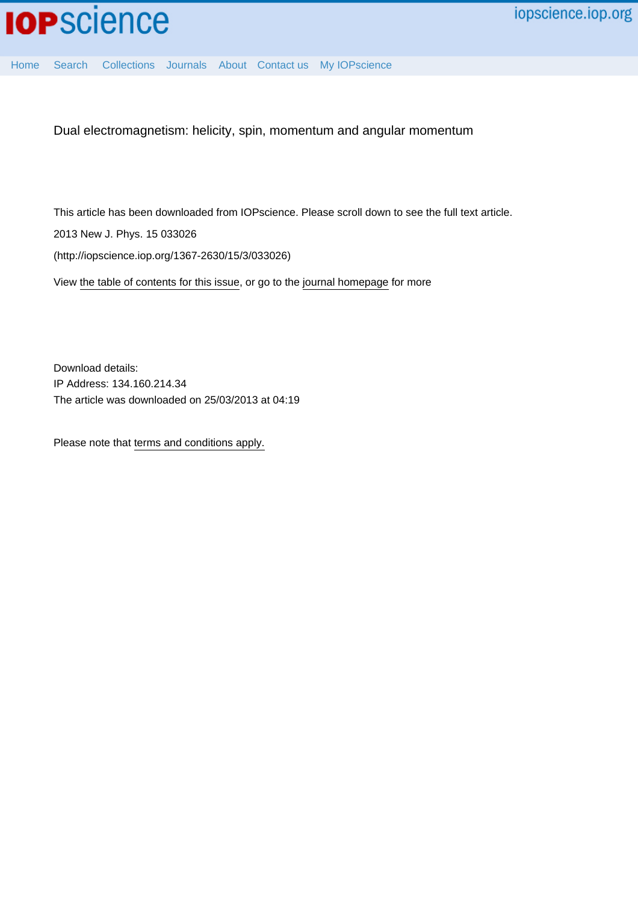

[Home](http://iopscience.iop.org/) [Search](http://iopscience.iop.org/search) [Collections](http://iopscience.iop.org/collections) [Journals](http://iopscience.iop.org/journals) [About](http://iopscience.iop.org/page/aboutioppublishing) [Contact us](http://iopscience.iop.org/contact) [My IOPscience](http://iopscience.iop.org/myiopscience)

Dual electromagnetism: helicity, spin, momentum and angular momentum

This article has been downloaded from IOPscience. Please scroll down to see the full text article.

2013 New J. Phys. 15 033026

(http://iopscience.iop.org/1367-2630/15/3/033026)

View [the table of contents for this issue](http://iopscience.iop.org/1367-2630/15/3), or go to the [journal homepage](http://iopscience.iop.org/1367-2630) for more

Download details: IP Address: 134.160.214.34 The article was downloaded on 25/03/2013 at 04:19

Please note that [terms and conditions apply.](http://iopscience.iop.org/page/terms)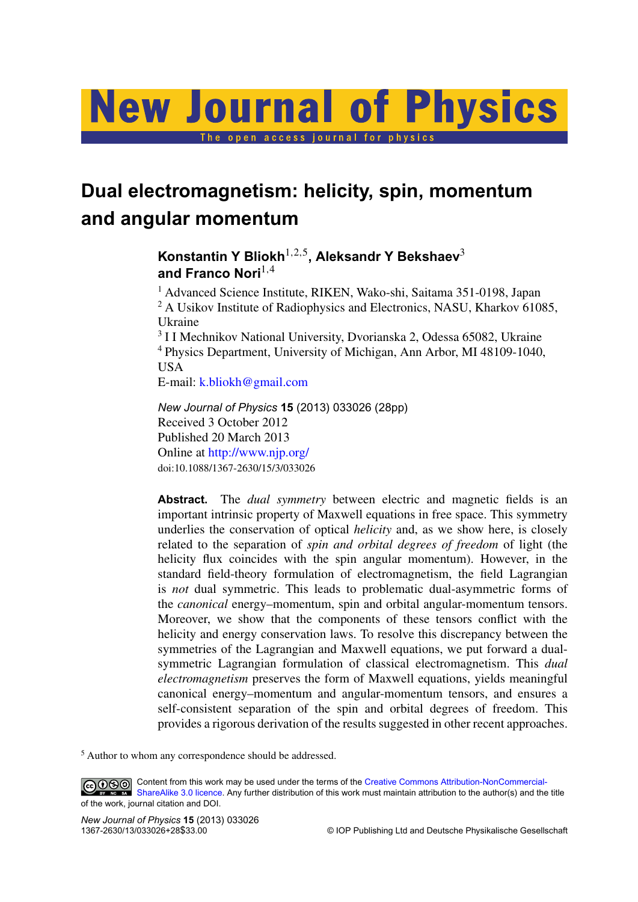# **New Journal of Physics** The open access journal for physics

**Dual electromagnetism: helicity, spin, momentum and angular momentum**

# **Konstantin Y Bliokh**1,2,<sup>5</sup> **, Aleksandr Y Bekshaev**<sup>3</sup> and Franco Nori<sup>1,4</sup>

<sup>1</sup> Advanced Science Institute, RIKEN, Wako-shi, Saitama 351-0198, Japan <sup>2</sup> A Usikov Institute of Radiophysics and Electronics, NASU, Kharkov 61085, Ukraine

3 I I Mechnikov National University, Dvorianska 2, Odessa 65082, Ukraine <sup>4</sup> Physics Department, University of Michigan, Ann Arbor, MI 48109-1040, USA

E-mail: [k.bliokh@gmail.com](mailto:k.bliokh@gmail.com)

*New Journal of Physics* **15** (2013) 033026 (28pp) Received 3 October 2012 Published 20 March 2013 Online at <http://www.njp.org/> doi:10.1088/1367-2630/15/3/033026

**Abstract.** The *dual symmetry* between electric and magnetic fields is an important intrinsic property of Maxwell equations in free space. This symmetry underlies the conservation of optical *helicity* and, as we show here, is closely related to the separation of *spin and orbital degrees of freedom* of light (the helicity flux coincides with the spin angular momentum). However, in the standard field-theory formulation of electromagnetism, the field Lagrangian is *not* dual symmetric. This leads to problematic dual-asymmetric forms of the *canonical* energy–momentum, spin and orbital angular-momentum tensors. Moreover, we show that the components of these tensors conflict with the helicity and energy conservation laws. To resolve this discrepancy between the symmetries of the Lagrangian and Maxwell equations, we put forward a dualsymmetric Lagrangian formulation of classical electromagnetism. This *dual electromagnetism* preserves the form of Maxwell equations, yields meaningful canonical energy–momentum and angular-momentum tensors, and ensures a self-consistent separation of the spin and orbital degrees of freedom. This provides a rigorous derivation of the results suggested in other recent approaches.

<sup>5</sup> Author to whom any correspondence should be addressed.

Content from this work may be used under the terms of the [Creative Commons Attribution-NonCommercial-](http://creativecommons.org/licenses/by-nc-sa/3.0)<u> (@0®0)</u> [ShareAlike 3.0 licence.](http://creativecommons.org/licenses/by-nc-sa/3.0) Any further distribution of this work must maintain attribution to the author(s) and the title of the work, journal citation and DOI.

*New Journal of Physics* **15** (2013) 033026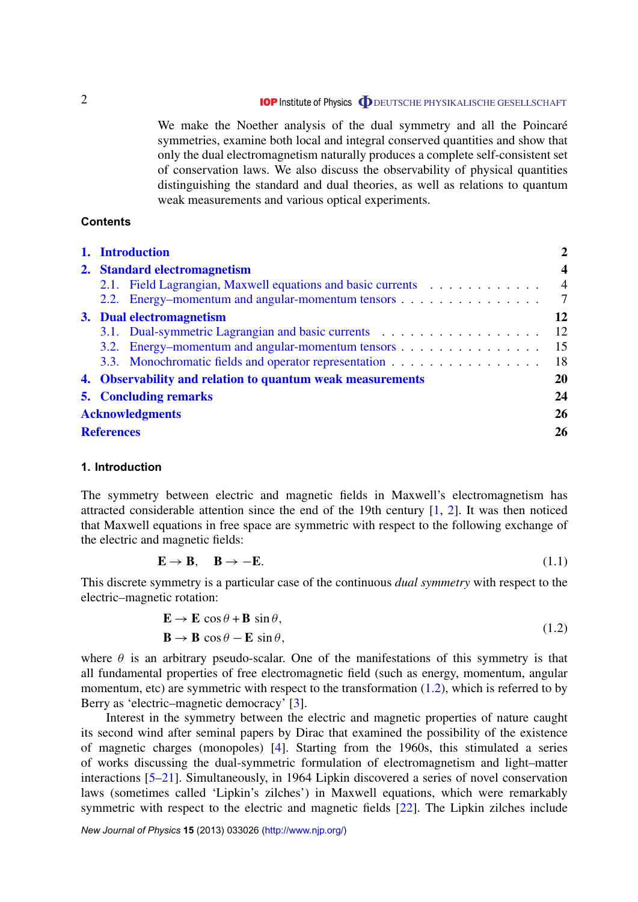<span id="page-2-0"></span>We make the Noether analysis of the dual symmetry and all the Poincaré symmetries, examine both local and integral conserved quantities and show that only the dual electromagnetism naturally produces a complete self-consistent set of conservation laws. We also discuss the observability of physical quantities distinguishing the standard and dual theories, as well as relations to quantum weak measurements and various optical experiments.

# **Contents**

| 1. Introduction<br>$\overline{2}$                                |                |  |  |  |
|------------------------------------------------------------------|----------------|--|--|--|
| 2. Standard electromagnetism                                     |                |  |  |  |
| 2.1. Field Lagrangian, Maxwell equations and basic currents      | $\overline{4}$ |  |  |  |
| 2.2. Energy-momentum and angular-momentum tensors                | $\overline{7}$ |  |  |  |
| 3. Dual electromagnetism                                         |                |  |  |  |
|                                                                  | <sup>12</sup>  |  |  |  |
| 3.2. Energy-momentum and angular-momentum tensors                | 15             |  |  |  |
|                                                                  | -18            |  |  |  |
| 4. Observability and relation to quantum weak measurements<br>20 |                |  |  |  |
| 24<br><b>5. Concluding remarks</b>                               |                |  |  |  |
| <b>Acknowledgments</b>                                           |                |  |  |  |
| <b>References</b>                                                |                |  |  |  |

# **1. Introduction**

The symmetry between electric and magnetic fields in Maxwell's electromagnetism has attracted considerable attention since the end of the 19th century [\[1,](#page-26-0) [2\]](#page-26-0). It was then noticed that Maxwell equations in free space are symmetric with respect to the following exchange of the electric and magnetic fields:

$$
\mathbf{E} \to \mathbf{B}, \quad \mathbf{B} \to -\mathbf{E}.\tag{1.1}
$$

This discrete symmetry is a particular case of the continuous *dual symmetry* with respect to the electric–magnetic rotation:

$$
\mathbf{E} \to \mathbf{E} \cos \theta + \mathbf{B} \sin \theta,
$$
  

$$
\mathbf{B} \to \mathbf{B} \cos \theta - \mathbf{E} \sin \theta,
$$
 (1.2)

where  $\theta$  is an arbitrary pseudo-scalar. One of the manifestations of this symmetry is that all fundamental properties of free electromagnetic field (such as energy, momentum, angular momentum, etc) are symmetric with respect to the transformation  $(1.2)$ , which is referred to by Berry as 'electric–magnetic democracy' [\[3\]](#page-26-0).

Interest in the symmetry between the electric and magnetic properties of nature caught its second wind after seminal papers by Dirac that examined the possibility of the existence of magnetic charges (monopoles) [\[4\]](#page-26-0). Starting from the 1960s, this stimulated a series of works discussing the dual-symmetric formulation of electromagnetism and light–matter interactions [\[5](#page-26-0)[–21\]](#page-27-0). Simultaneously, in 1964 Lipkin discovered a series of novel conservation laws (sometimes called 'Lipkin's zilches') in Maxwell equations, which were remarkably symmetric with respect to the electric and magnetic fields [\[22\]](#page-27-0). The Lipkin zilches include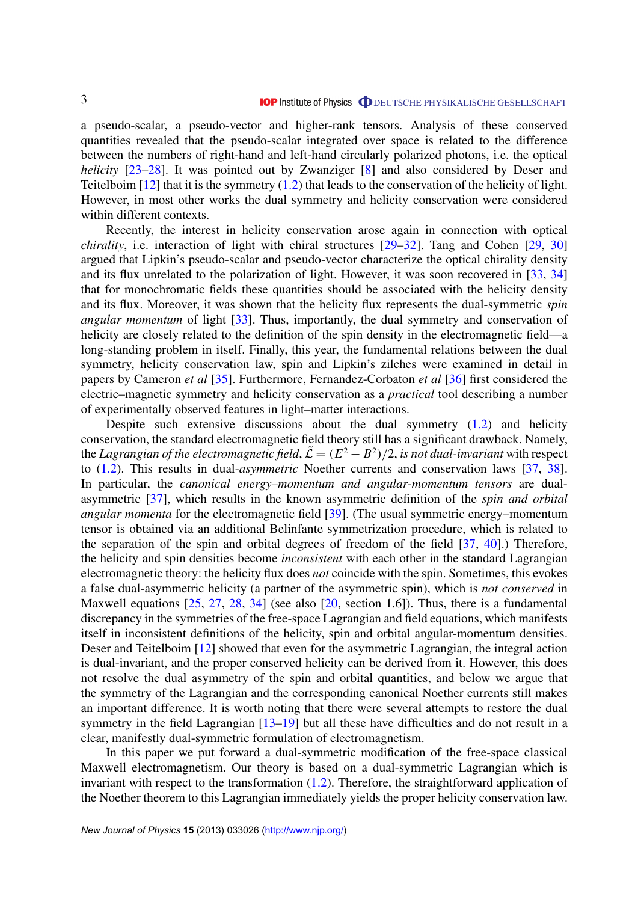a pseudo-scalar, a pseudo-vector and higher-rank tensors. Analysis of these conserved quantities revealed that the pseudo-scalar integrated over space is related to the difference between the numbers of right-hand and left-hand circularly polarized photons, i.e. the optical *helicity* [\[23–28\]](#page-27-0). It was pointed out by Zwanziger [\[8\]](#page-26-0) and also considered by Deser and Teitelboim [\[12\]](#page-26-0) that it is the symmetry [\(1.2\)](#page-2-0) that leads to the conservation of the helicity of light. However, in most other works the dual symmetry and helicity conservation were considered within different contexts.

Recently, the interest in helicity conservation arose again in connection with optical *chirality*, i.e. interaction of light with chiral structures [\[29–32\]](#page-27-0). Tang and Cohen [\[29,](#page-27-0) [30\]](#page-27-0) argued that Lipkin's pseudo-scalar and pseudo-vector characterize the optical chirality density and its flux unrelated to the polarization of light. However, it was soon recovered in [\[33,](#page-27-0) [34\]](#page-27-0) that for monochromatic fields these quantities should be associated with the helicity density and its flux. Moreover, it was shown that the helicity flux represents the dual-symmetric *spin angular momentum* of light [\[33\]](#page-27-0). Thus, importantly, the dual symmetry and conservation of helicity are closely related to the definition of the spin density in the electromagnetic field—a long-standing problem in itself. Finally, this year, the fundamental relations between the dual symmetry, helicity conservation law, spin and Lipkin's zilches were examined in detail in papers by Cameron *et al* [\[35\]](#page-27-0). Furthermore, Fernandez-Corbaton *et al* [\[36\]](#page-27-0) first considered the electric–magnetic symmetry and helicity conservation as a *practical* tool describing a number of experimentally observed features in light–matter interactions.

Despite such extensive discussions about the dual symmetry [\(1.2\)](#page-2-0) and helicity conservation, the standard electromagnetic field theory still has a significant drawback. Namely, the *Lagrangian of the electromagnetic field*,  $\tilde{L} = (E^2 - B^2)/2$ , *is not dual-invariant* with respect to [\(1.2\)](#page-2-0). This results in dual-*asymmetric* Noether currents and conservation laws [\[37,](#page-27-0) [38\]](#page-27-0). In particular, the *canonical energy–momentum and angular-momentum tensors* are dualasymmetric [\[37\]](#page-27-0), which results in the known asymmetric definition of the *spin and orbital angular momenta* for the electromagnetic field [\[39\]](#page-27-0). (The usual symmetric energy–momentum tensor is obtained via an additional Belinfante symmetrization procedure, which is related to the separation of the spin and orbital degrees of freedom of the field [\[37,](#page-27-0) [40\]](#page-27-0).) Therefore, the helicity and spin densities become *inconsistent* with each other in the standard Lagrangian electromagnetic theory: the helicity flux does *not* coincide with the spin. Sometimes, this evokes a false dual-asymmetric helicity (a partner of the asymmetric spin), which is *not conserved* in Maxwell equations [\[25,](#page-27-0) [27,](#page-27-0) [28,](#page-27-0) [34\]](#page-27-0) (see also [\[20,](#page-27-0) section 1.6]). Thus, there is a fundamental discrepancy in the symmetries of the free-space Lagrangian and field equations, which manifests itself in inconsistent definitions of the helicity, spin and orbital angular-momentum densities. Deser and Teitelboim [\[12\]](#page-26-0) showed that even for the asymmetric Lagrangian, the integral action is dual-invariant, and the proper conserved helicity can be derived from it. However, this does not resolve the dual asymmetry of the spin and orbital quantities, and below we argue that the symmetry of the Lagrangian and the corresponding canonical Noether currents still makes an important difference. It is worth noting that there were several attempts to restore the dual symmetry in the field Lagrangian [\[13–19\]](#page-27-0) but all these have difficulties and do not result in a clear, manifestly dual-symmetric formulation of electromagnetism.

In this paper we put forward a dual-symmetric modification of the free-space classical Maxwell electromagnetism. Our theory is based on a dual-symmetric Lagrangian which is invariant with respect to the transformation [\(1.2\)](#page-2-0). Therefore, the straightforward application of the Noether theorem to this Lagrangian immediately yields the proper helicity conservation law.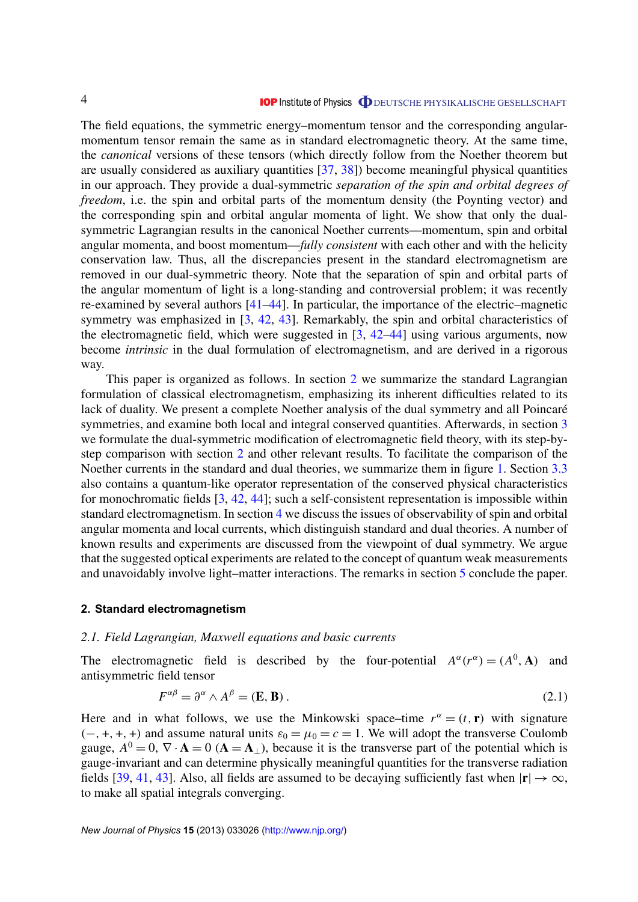<span id="page-4-0"></span>The field equations, the symmetric energy–momentum tensor and the corresponding angularmomentum tensor remain the same as in standard electromagnetic theory. At the same time, the *canonical* versions of these tensors (which directly follow from the Noether theorem but are usually considered as auxiliary quantities [\[37,](#page-27-0) [38\]](#page-27-0)) become meaningful physical quantities in our approach. They provide a dual-symmetric *separation of the spin and orbital degrees of freedom*, i.e. the spin and orbital parts of the momentum density (the Poynting vector) and the corresponding spin and orbital angular momenta of light. We show that only the dualsymmetric Lagrangian results in the canonical Noether currents—momentum, spin and orbital angular momenta, and boost momentum—*fully consistent* with each other and with the helicity conservation law. Thus, all the discrepancies present in the standard electromagnetism are removed in our dual-symmetric theory. Note that the separation of spin and orbital parts of the angular momentum of light is a long-standing and controversial problem; it was recently re-examined by several authors [\[41–44\]](#page-27-0). In particular, the importance of the electric–magnetic symmetry was emphasized in [\[3,](#page-26-0) [42,](#page-27-0) [43\]](#page-27-0). Remarkably, the spin and orbital characteristics of the electromagnetic field, which were suggested in [\[3,](#page-26-0) [42–44\]](#page-27-0) using various arguments, now become *intrinsic* in the dual formulation of electromagnetism, and are derived in a rigorous way.

This paper is organized as follows. In section 2 we summarize the standard Lagrangian formulation of classical electromagnetism, emphasizing its inherent difficulties related to its lack of duality. We present a complete Noether analysis of the dual symmetry and all Poincaré symmetries, and examine both local and integral conserved quantities. Afterwards, in section [3](#page-12-0) we formulate the dual-symmetric modification of electromagnetic field theory, with its step-bystep comparison with section 2 and other relevant results. To facilitate the comparison of the Noether currents in the standard and dual theories, we summarize them in figure [1.](#page-13-0) Section [3.3](#page-18-0) also contains a quantum-like operator representation of the conserved physical characteristics for monochromatic fields [\[3,](#page-26-0) [42,](#page-27-0) [44\]](#page-27-0); such a self-consistent representation is impossible within standard electromagnetism. In section [4](#page-20-0) we discuss the issues of observability of spin and orbital angular momenta and local currents, which distinguish standard and dual theories. A number of known results and experiments are discussed from the viewpoint of dual symmetry. We argue that the suggested optical experiments are related to the concept of quantum weak measurements and unavoidably involve light–matter interactions. The remarks in section [5](#page-24-0) conclude the paper.

#### **2. Standard electromagnetism**

#### *2.1. Field Lagrangian, Maxwell equations and basic currents*

The electromagnetic field is described by the four-potential  $A^{\alpha}(r^{\alpha}) = (A^0, \mathbf{A})$  and antisymmetric field tensor

$$
F^{\alpha\beta} = \partial^{\alpha} \wedge A^{\beta} = (\mathbf{E}, \mathbf{B}). \tag{2.1}
$$

Here and in what follows, we use the Minkowski space–time  $r^{\alpha} = (t, r)$  with signature  $(-, +, +, +)$  and assume natural units  $\varepsilon_0 = \mu_0 = c = 1$ . We will adopt the transverse Coulomb gauge,  $A^0 = 0$ ,  $\nabla \cdot \mathbf{A} = 0$  ( $\mathbf{A} = \mathbf{A}_\perp$ ), because it is the transverse part of the potential which is gauge-invariant and can determine physically meaningful quantities for the transverse radiation fields [\[39,](#page-27-0) [41,](#page-27-0) [43\]](#page-27-0). Also, all fields are assumed to be decaying sufficiently fast when  $|\mathbf{r}| \to \infty$ , to make all spatial integrals converging.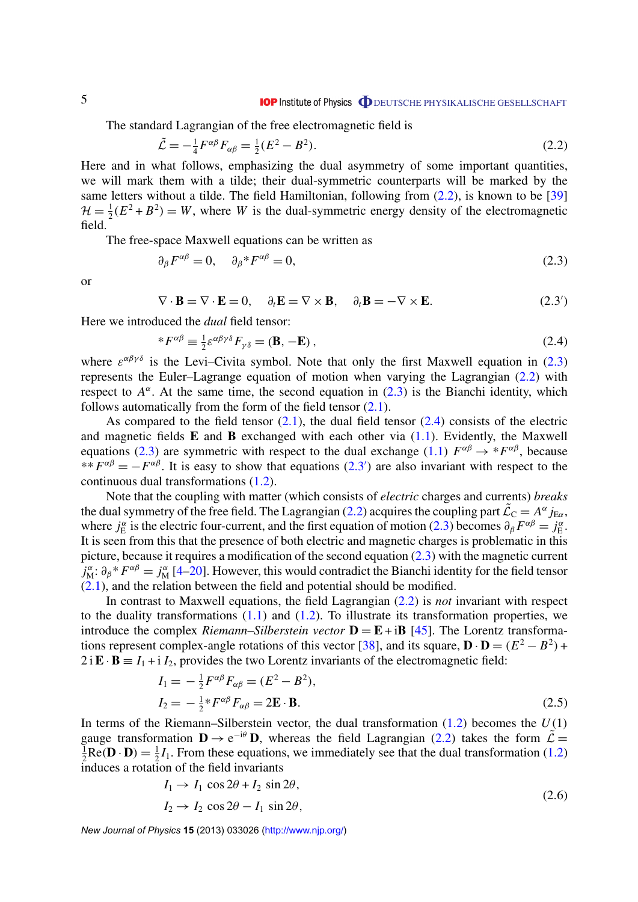<span id="page-5-0"></span>The standard Lagrangian of the free electromagnetic field is

$$
\tilde{\mathcal{L}} = -\frac{1}{4} F^{\alpha \beta} F_{\alpha \beta} = \frac{1}{2} (E^2 - B^2).
$$
 (2.2)

Here and in what follows, emphasizing the dual asymmetry of some important quantities, we will mark them with a tilde; their dual-symmetric counterparts will be marked by the same letters without a tilde. The field Hamiltonian, following from  $(2.2)$ , is known to be [\[39\]](#page-27-0)  $\mathcal{H}=\frac{1}{2}$  $\frac{1}{2}(E^2 + B^2) = W$ , where *W* is the dual-symmetric energy density of the electromagnetic field.

The free-space Maxwell equations can be written as

$$
\partial_{\beta} F^{\alpha\beta} = 0, \quad \partial_{\beta} * F^{\alpha\beta} = 0, \tag{2.3}
$$

or

 $\nabla \cdot \mathbf{B} = \nabla \cdot \mathbf{E} = 0, \quad \partial \cdot \mathbf{E} = \nabla \times \mathbf{B}, \quad \partial \cdot \mathbf{B} = -\nabla \times \mathbf{E}.$  $\bigwedge$ 

Here we introduced the *dual* field tensor:

$$
*F^{\alpha\beta} \equiv \frac{1}{2} \varepsilon^{\alpha\beta\gamma\delta} F_{\gamma\delta} = (\mathbf{B}, -\mathbf{E}), \qquad (2.4)
$$

where  $\varepsilon^{\alpha\beta\gamma\delta}$  is the Levi–Civita symbol. Note that only the first Maxwell equation in (2.3) represents the Euler–Lagrange equation of motion when varying the Lagrangian (2.2) with respect to  $A^{\alpha}$ . At the same time, the second equation in (2.3) is the Bianchi identity, which follows automatically from the form of the field tensor [\(2.1\)](#page-4-0).

As compared to the field tensor  $(2.1)$ , the dual field tensor  $(2.4)$  consists of the electric and magnetic fields **E** and **B** exchanged with each other via [\(1.1\)](#page-2-0). Evidently, the Maxwell equations (2.3) are symmetric with respect to the dual exchange [\(1.1\)](#page-2-0)  $F^{\alpha\beta} \to {}^*F^{\alpha\beta}$ , because  $*\ast F^{\alpha\beta} = -F^{\alpha\beta}$ . It is easy to show that equations (2.3') are also invariant with respect to the continuous dual transformations [\(1.2\)](#page-2-0).

Note that the coupling with matter (which consists of *electric* charges and currents) *breaks* the dual symmetry of the free field. The Lagrangian (2.2) acquires the coupling part  $\tilde{\mathcal{L}}_C = A^\alpha j_{E\alpha}$ , where  $j_{\rm E}^{\alpha}$  is the electric four-current, and the first equation of motion (2.3) becomes  $\partial_{\beta} F^{\alpha\beta} = j_{\rm E}^{\alpha}$ . It is seen from this that the presence of both electric and magnetic charges is problematic in this picture, because it requires a modification of the second equation  $(2.3)$  with the magnetic current  $j_{\rm M}^{\alpha}$ :  $\partial_{\beta} * F^{\alpha\beta} = j_{\rm M}^{\alpha}$  [\[4–](#page-26-0)[20\]](#page-27-0). However, this would contradict the Bianchi identity for the field tensor  $(2.1)$ , and the relation between the field and potential should be modified.

In contrast to Maxwell equations, the field Lagrangian (2.2) is *not* invariant with respect to the duality transformations  $(1.1)$  and  $(1.2)$ . To illustrate its transformation properties, we introduce the complex *Riemann–Silberstein vector*  $\mathbf{D} = \mathbf{E} + i\mathbf{B}$  [\[45\]](#page-27-0). The Lorentz transforma-tions represent complex-angle rotations of this vector [\[38\]](#page-27-0), and its square,  $\mathbf{D} \cdot \mathbf{D} = (E^2 - B^2) +$  $2 \mathbf{i} \mathbf{E} \cdot \mathbf{B} \equiv I_1 + \mathbf{i} I_2$ , provides the two Lorentz invariants of the electromagnetic field:

$$
I_1 = -\frac{1}{2} F^{\alpha\beta} F_{\alpha\beta} = (E^2 - B^2),
$$
  
\n
$$
I_2 = -\frac{1}{2} * F^{\alpha\beta} F_{\alpha\beta} = 2\mathbf{E} \cdot \mathbf{B}.
$$
\n(2.5)

In terms of the Riemann–Silberstein vector, the dual transformation  $(1.2)$  becomes the  $U(1)$ gauge transformation  $\mathbf{D} \rightarrow e^{-i\theta} \mathbf{D}$ , whereas the field Lagrangian (2.2) takes the form  $\tilde{\mathcal{L}} =$ 1  $\frac{1}{2}$ mathbf{Re}(\mathbf{D} \cdot \mathbf{D}) = \frac{1}{2}  $\frac{1}{2}I_1$ . From these equations, we immediately see that the dual transformation [\(1.2\)](#page-2-0) induces a rotation of the field invariants

$$
I_1 \to I_1 \cos 2\theta + I_2 \sin 2\theta,
$$
  
\n
$$
I_2 \to I_2 \cos 2\theta - I_1 \sin 2\theta,
$$
\n(2.6)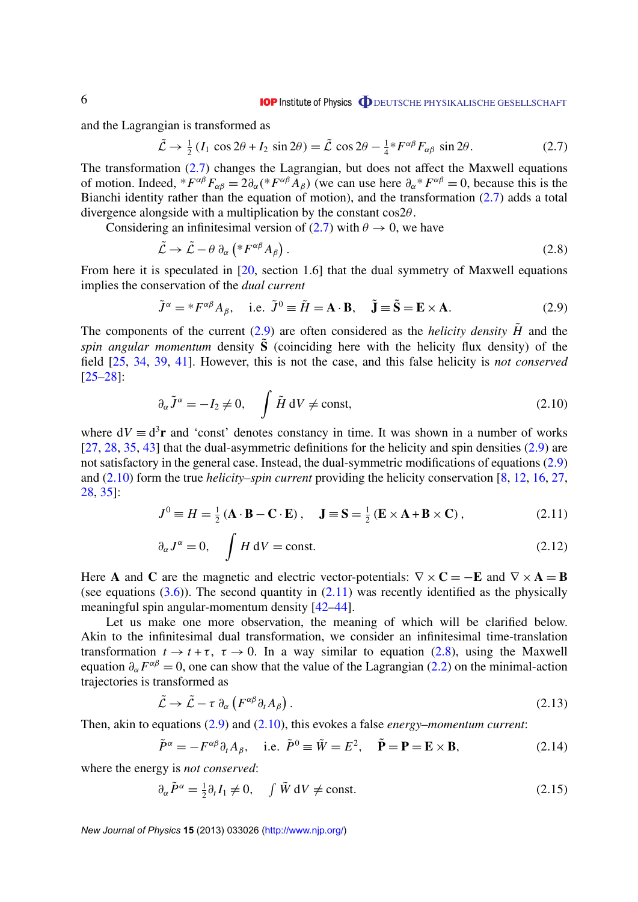<span id="page-6-0"></span>and the Lagrangian is transformed as

$$
\tilde{\mathcal{L}} \to \frac{1}{2} \left( I_1 \cos 2\theta + I_2 \sin 2\theta \right) = \tilde{\mathcal{L}} \cos 2\theta - \frac{1}{4} * F^{\alpha \beta} F_{\alpha \beta} \sin 2\theta. \tag{2.7}
$$

The transformation (2.7) changes the Lagrangian, but does not affect the Maxwell equations of motion. Indeed,  $*F^{\alpha\beta}F_{\alpha\beta} = 2\partial_{\alpha}(*F^{\alpha\beta}A_{\beta})$  (we can use here  $\partial_{\alpha}*F^{\alpha\beta} = 0$ , because this is the Bianchi identity rather than the equation of motion), and the transformation (2.7) adds a total divergence alongside with a multiplication by the constant  $\cos 2\theta$ .

Considering an infinitesimal version of (2.7) with  $\theta \to 0$ , we have

$$
\tilde{\mathcal{L}} \to \tilde{\mathcal{L}} - \theta \partial_{\alpha} \left( *F^{\alpha\beta} A_{\beta} \right). \tag{2.8}
$$

From here it is speculated in [\[20,](#page-27-0) section 1.6] that the dual symmetry of Maxwell equations implies the conservation of the *dual current*

$$
\tilde{J}^{\alpha} = {}^*F^{\alpha\beta}A_{\beta}, \quad \text{i.e. } \tilde{J}^0 \equiv \tilde{H} = \mathbf{A} \cdot \mathbf{B}, \quad \tilde{\mathbf{J}} \equiv \tilde{\mathbf{S}} = \mathbf{E} \times \mathbf{A}.
$$
 (2.9)

The components of the current (2.9) are often considered as the *helicity density*  $\tilde{H}$  and the *spin angular momentum* density  $\tilde{S}$  (coinciding here with the helicity flux density) of the field [\[25,](#page-27-0) [34,](#page-27-0) [39,](#page-27-0) [41\]](#page-27-0). However, this is not the case, and this false helicity is *not conserved* [\[25–28\]](#page-27-0):

$$
\partial_{\alpha}\tilde{J}^{\alpha} = -I_2 \neq 0, \quad \int \tilde{H} \, dV \neq \text{const}, \tag{2.10}
$$

where  $dV \equiv d^3r$  and 'const' denotes constancy in time. It was shown in a number of works [\[27,](#page-27-0) [28,](#page-27-0) [35,](#page-27-0) [43\]](#page-27-0) that the dual-asymmetric definitions for the helicity and spin densities (2.9) are not satisfactory in the general case. Instead, the dual-symmetric modifications of equations (2.9) and (2.10) form the true *helicity–spin current* providing the helicity conservation [\[8,](#page-26-0) [12,](#page-26-0) [16,](#page-27-0) [27,](#page-27-0) [28,](#page-27-0) [35\]](#page-27-0):

$$
J^{0} \equiv H = \frac{1}{2} \left( \mathbf{A} \cdot \mathbf{B} - \mathbf{C} \cdot \mathbf{E} \right), \quad \mathbf{J} \equiv \mathbf{S} = \frac{1}{2} \left( \mathbf{E} \times \mathbf{A} + \mathbf{B} \times \mathbf{C} \right), \tag{2.11}
$$

$$
\partial_{\alpha} J^{\alpha} = 0, \quad \int H \, \mathrm{d}V = \text{const.} \tag{2.12}
$$

Here **A** and **C** are the magnetic and electric vector-potentials:  $\nabla \times \mathbf{C} = -\mathbf{E}$  and  $\nabla \times \mathbf{A} = \mathbf{B}$ (see equations  $(3.6)$ ). The second quantity in  $(2.11)$  was recently identified as the physically meaningful spin angular-momentum density [\[42–44\]](#page-27-0).

Let us make one more observation, the meaning of which will be clarified below. Akin to the infinitesimal dual transformation, we consider an infinitesimal time-translation transformation  $t \to t + \tau$ ,  $\tau \to 0$ . In a way similar to equation (2.8), using the Maxwell equation  $\partial_{\alpha} F^{\alpha\beta} = 0$ , one can show that the value of the Lagrangian [\(2.2\)](#page-5-0) on the minimal-action trajectories is transformed as

$$
\tilde{\mathcal{L}} \to \tilde{\mathcal{L}} - \tau \partial_{\alpha} \left( F^{\alpha \beta} \partial_t A_{\beta} \right). \tag{2.13}
$$

Then, akin to equations (2.9) and (2.10), this evokes a false *energy–momentum current*:

$$
\tilde{P}^{\alpha} = -F^{\alpha\beta}\partial_t A_{\beta}, \quad \text{i.e. } \tilde{P}^0 \equiv \tilde{W} = E^2, \quad \tilde{P} = P = E \times B,
$$
\n(2.14)

where the energy is *not conserved*:

$$
\partial_{\alpha}\tilde{P}^{\alpha} = \frac{1}{2}\partial_t I_1 \neq 0, \quad \int \tilde{W} \,dV \neq \text{const.}
$$
\n(2.15)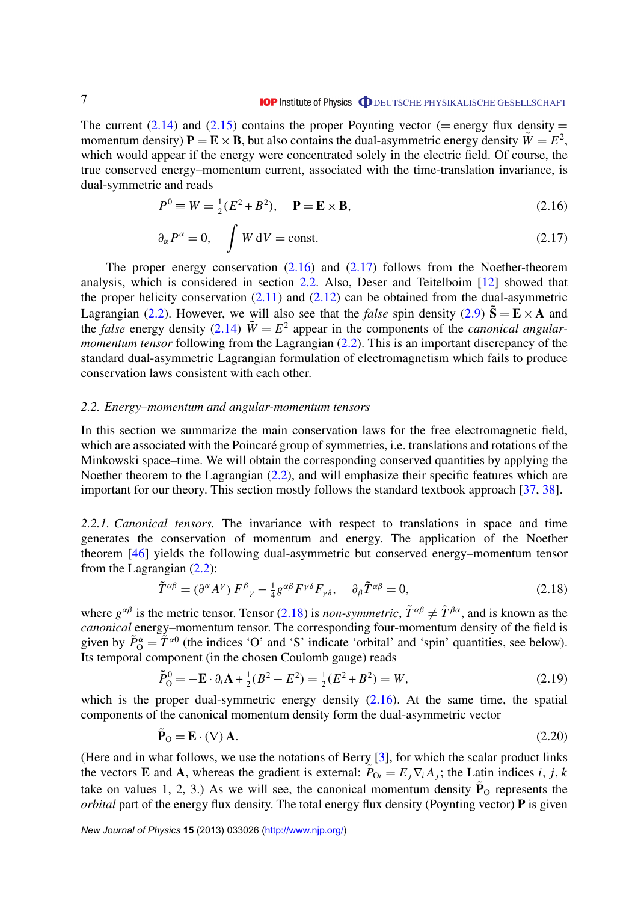<span id="page-7-0"></span>The current [\(2.14\)](#page-6-0) and [\(2.15\)](#page-6-0) contains the proper Poynting vector (= energy flux density = momentum density)  $\mathbf{P} = \mathbf{E} \times \mathbf{B}$ , but also contains the dual-asymmetric energy density  $\tilde{W} = E^2$ , which would appear if the energy were concentrated solely in the electric field. Of course, the true conserved energy–momentum current, associated with the time-translation invariance, is dual-symmetric and reads

$$
P^{0} \equiv W = \frac{1}{2}(E^{2} + B^{2}), \quad \mathbf{P} = \mathbf{E} \times \mathbf{B}, \tag{2.16}
$$

$$
\partial_{\alpha} P^{\alpha} = 0, \quad \int W \, dV = \text{const.}
$$
 (2.17)

The proper energy conservation  $(2.16)$  and  $(2.17)$  follows from the Noether-theorem analysis, which is considered in section 2.2. Also, Deser and Teitelboim [\[12\]](#page-26-0) showed that the proper helicity conservation  $(2.11)$  and  $(2.12)$  can be obtained from the dual-asymmetric Lagrangian [\(2.2\)](#page-5-0). However, we will also see that the *false* spin density [\(2.9\)](#page-6-0)  $\tilde{S} = E \times A$  and the *false* energy density [\(2.14\)](#page-6-0)  $\tilde{W} = E^2$  appear in the components of the *canonical angularmomentum tensor* following from the Lagrangian  $(2.2)$ . This is an important discrepancy of the standard dual-asymmetric Lagrangian formulation of electromagnetism which fails to produce conservation laws consistent with each other.

# *2.2. Energy–momentum and angular-momentum tensors*

In this section we summarize the main conservation laws for the free electromagnetic field, which are associated with the Poincaré group of symmetries, i.e. translations and rotations of the Minkowski space–time. We will obtain the corresponding conserved quantities by applying the Noether theorem to the Lagrangian [\(2.2\)](#page-5-0), and will emphasize their specific features which are important for our theory. This section mostly follows the standard textbook approach [\[37,](#page-27-0) [38\]](#page-27-0).

*2.2.1. Canonical tensors.* The invariance with respect to translations in space and time generates the conservation of momentum and energy. The application of the Noether theorem [\[46\]](#page-27-0) yields the following dual-asymmetric but conserved energy–momentum tensor from the Lagrangian [\(2.2\)](#page-5-0):

$$
\tilde{T}^{\alpha\beta} = (\partial^{\alpha} A^{\gamma}) F^{\beta}{}_{\gamma} - \frac{1}{4} g^{\alpha\beta} F^{\gamma\delta} F_{\gamma\delta}, \quad \partial_{\beta} \tilde{T}^{\alpha\beta} = 0, \tag{2.18}
$$

where  $g^{\alpha\beta}$  is the metric tensor. Tensor (2.18) is *non-symmetric*,  $\tilde{T}^{\alpha\beta} \neq \tilde{T}^{\beta\alpha}$ , and is known as the *canonical* energy–momentum tensor. The corresponding four-momentum density of the field is given by  $\tilde{P}_0^{\alpha} = T^{\alpha 0}$  (the indices 'O' and 'S' indicate 'orbital' and 'spin' quantities, see below). Its temporal component (in the chosen Coulomb gauge) reads

$$
\tilde{P}_0^0 = -\mathbf{E} \cdot \partial_t \mathbf{A} + \frac{1}{2} (B^2 - E^2) = \frac{1}{2} (E^2 + B^2) = W,
$$
\n(2.19)

which is the proper dual-symmetric energy density  $(2.16)$ . At the same time, the spatial components of the canonical momentum density form the dual-asymmetric vector

$$
\tilde{\mathbf{P}}_0 = \mathbf{E} \cdot (\nabla) \mathbf{A}.
$$
\n(2.20)

(Here and in what follows, we use the notations of Berry [\[3\]](#page-26-0), for which the scalar product links the vectors **E** and **A**, whereas the gradient is external:  $\tilde{P}_{0i} = E_j \nabla_i A_j$ ; the Latin indices *i*, *j*, *k* take on values 1, 2, 3.) As we will see, the canonical momentum density  $\tilde{P}_{O}$  represents the *orbital* part of the energy flux density. The total energy flux density (Poynting vector) **P** is given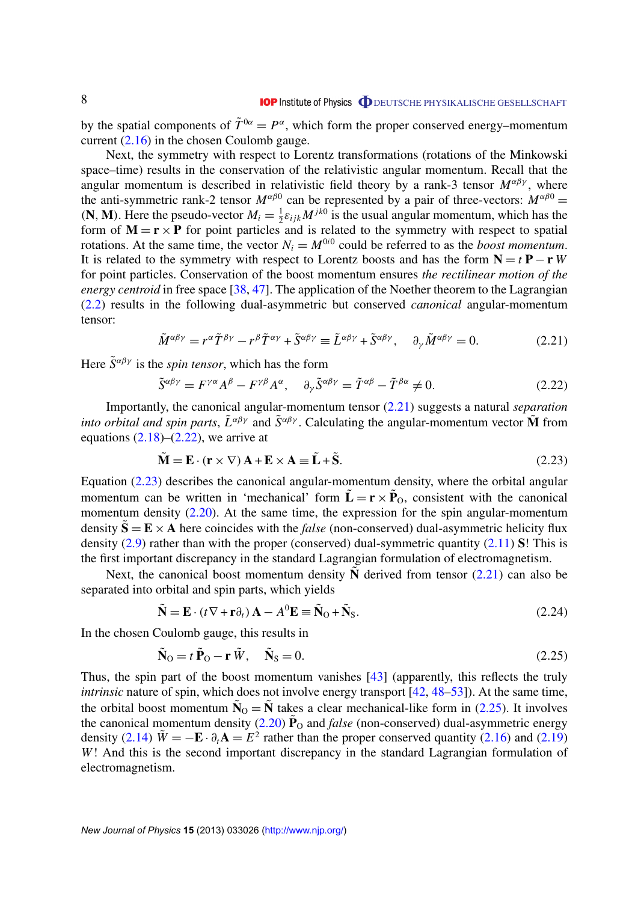<span id="page-8-0"></span>by the spatial components of  $\tilde{T}^{0\alpha} = P^{\alpha}$ , which form the proper conserved energy–momentum current [\(2.16\)](#page-7-0) in the chosen Coulomb gauge.

Next, the symmetry with respect to Lorentz transformations (rotations of the Minkowski space–time) results in the conservation of the relativistic angular momentum. Recall that the angular momentum is described in relativistic field theory by a rank-3 tensor  $M^{\alpha\beta\gamma}$ , where the anti-symmetric rank-2 tensor  $M^{\alpha\beta}$  can be represented by a pair of three-vectors:  $M^{\alpha\beta}$ <sup>0</sup>  $(N, M)$ . Here the pseudo-vector  $M_i = \frac{1}{2}$  $\frac{1}{2}\varepsilon_{ijk}M^{jk0}$  is the usual angular momentum, which has the form of  $M = r \times P$  for point particles and is related to the symmetry with respect to spatial rotations. At the same time, the vector  $N_i = M^{0i0}$  could be referred to as the *boost momentum*. It is related to the symmetry with respect to Lorentz boosts and has the form  $N = tP - rW$ for point particles. Conservation of the boost momentum ensures *the rectilinear motion of the energy centroid* in free space [\[38,](#page-27-0) [47\]](#page-27-0). The application of the Noether theorem to the Lagrangian [\(2.2\)](#page-5-0) results in the following dual-asymmetric but conserved *canonical* angular-momentum tensor:

$$
\tilde{M}^{\alpha\beta\gamma} = r^{\alpha}\tilde{T}^{\beta\gamma} - r^{\beta}\tilde{T}^{\alpha\gamma} + \tilde{S}^{\alpha\beta\gamma} \equiv \tilde{L}^{\alpha\beta\gamma} + \tilde{S}^{\alpha\beta\gamma}, \quad \partial_{\gamma}\tilde{M}^{\alpha\beta\gamma} = 0.
$$
 (2.21)

Here  $\tilde{S}^{\alpha\beta\gamma}$  is the *spin tensor*, which has the form

$$
\tilde{S}^{\alpha\beta\gamma} = F^{\gamma\alpha}A^{\beta} - F^{\gamma\beta}A^{\alpha}, \quad \partial_{\gamma}\tilde{S}^{\alpha\beta\gamma} = \tilde{T}^{\alpha\beta} - \tilde{T}^{\beta\alpha} \neq 0. \tag{2.22}
$$

Importantly, the canonical angular-momentum tensor (2.21) suggests a natural *separation into orbital and spin parts*,  $\tilde{L}^{\alpha\beta\gamma}$  and  $\tilde{S}^{\alpha\beta\gamma}$ . Calculating the angular-momentum vector  $\tilde{M}$  from equations  $(2.18)$ – $(2.22)$ , we arrive at

$$
\tilde{\mathbf{M}} = \mathbf{E} \cdot (\mathbf{r} \times \nabla) \mathbf{A} + \mathbf{E} \times \mathbf{A} \equiv \tilde{\mathbf{L}} + \tilde{\mathbf{S}}.
$$
\n(2.23)

Equation (2.23) describes the canonical angular-momentum density, where the orbital angular momentum can be written in 'mechanical' form  $\tilde{\mathbf{L}} = \mathbf{r} \times \tilde{\mathbf{P}}_0$ , consistent with the canonical momentum density [\(2.20\)](#page-7-0). At the same time, the expression for the spin angular-momentum density  $\tilde{\mathbf{S}} = \mathbf{E} \times \mathbf{A}$  here coincides with the *false* (non-conserved) dual-asymmetric helicity flux density [\(2.9\)](#page-6-0) rather than with the proper (conserved) dual-symmetric quantity [\(2.11\)](#page-6-0) **S**! This is the first important discrepancy in the standard Lagrangian formulation of electromagnetism.

Next, the canonical boost momentum density  $\tilde{N}$  derived from tensor (2.21) can also be separated into orbital and spin parts, which yields

$$
\tilde{\mathbf{N}} = \mathbf{E} \cdot (t \nabla + \mathbf{r} \partial_t) \mathbf{A} - A^0 \mathbf{E} \equiv \tilde{\mathbf{N}}_0 + \tilde{\mathbf{N}}_S.
$$
\n(2.24)

In the chosen Coulomb gauge, this results in

$$
\tilde{\mathbf{N}}_0 = t \tilde{\mathbf{P}}_0 - \mathbf{r} \tilde{W}, \quad \tilde{\mathbf{N}}_S = 0.
$$
\n(2.25)

Thus, the spin part of the boost momentum vanishes [\[43\]](#page-27-0) (apparently, this reflects the truly *intrinsic* nature of spin, which does not involve energy transport [\[42,](#page-27-0) [48–](#page-27-0)[53\]](#page-28-0)). At the same time, the orbital boost momentum  $\tilde{\mathbf{N}}_0 = \tilde{\mathbf{N}}$  takes a clear mechanical-like form in (2.25). It involves the canonical momentum density  $(2.20)$   $\tilde{P}_0$  and *false* (non-conserved) dual-asymmetric energy density [\(2.14\)](#page-6-0)  $\tilde{W} = -\mathbf{E} \cdot \partial_t \mathbf{A} = E^2$  rather than the proper conserved quantity [\(2.16\)](#page-7-0) and [\(2.19\)](#page-7-0) *W*! And this is the second important discrepancy in the standard Lagrangian formulation of electromagnetism.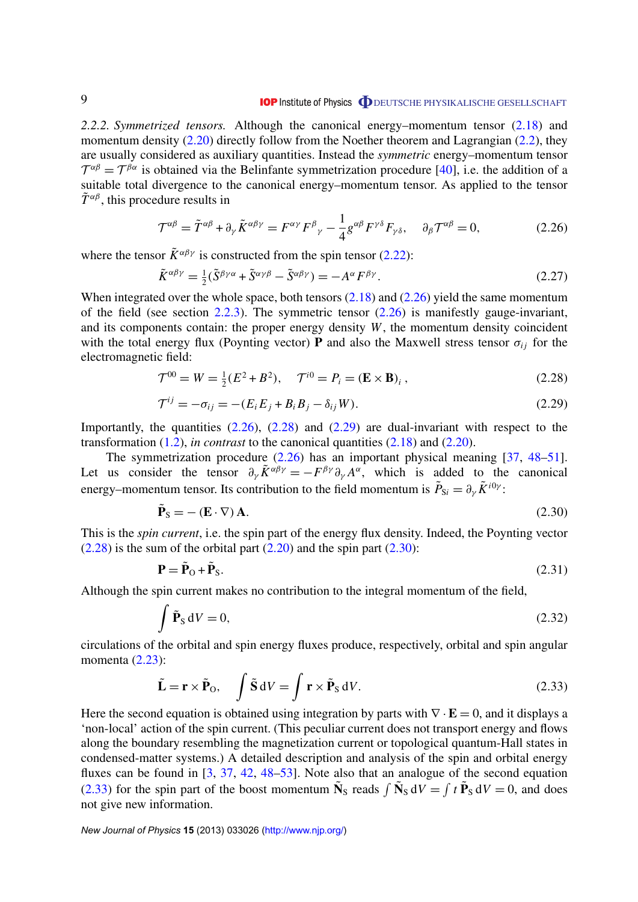# **IOP** Institute of Physics **ODEUTSCHE PHYSIKALISCHE GESELLSCHAFT**

<span id="page-9-0"></span>*2.2.2. Symmetrized tensors.* Although the canonical energy–momentum tensor [\(2.18\)](#page-7-0) and momentum density [\(2.20\)](#page-7-0) directly follow from the Noether theorem and Lagrangian [\(2.2\)](#page-5-0), they are usually considered as auxiliary quantities. Instead the *symmetric* energy–momentum tensor  $T^{\alpha\beta} = T^{\beta\alpha}$  is obtained via the Belinfante symmetrization procedure [\[40\]](#page-27-0), i.e. the addition of a suitable total divergence to the canonical energy–momentum tensor. As applied to the tensor  $\tilde{T}^{\alpha\beta}$ , this procedure results in

$$
\mathcal{T}^{\alpha\beta} = \tilde{T}^{\alpha\beta} + \partial_{\gamma}\tilde{K}^{\alpha\beta\gamma} = F^{\alpha\gamma}F^{\beta}{}_{\gamma} - \frac{1}{4}g^{\alpha\beta}F^{\gamma\delta}F_{\gamma\delta}, \quad \partial_{\beta}\mathcal{T}^{\alpha\beta} = 0,
$$
 (2.26)

where the tensor  $\tilde{K}^{\alpha\beta\gamma}$  is constructed from the spin tensor [\(2.22\)](#page-8-0):

$$
\tilde{K}^{\alpha\beta\gamma} = \frac{1}{2} (\tilde{S}^{\beta\gamma\alpha} + \tilde{S}^{\alpha\gamma\beta} - \tilde{S}^{\alpha\beta\gamma}) = -A^{\alpha} F^{\beta\gamma}.
$$
\n(2.27)

When integrated over the whole space, both tensors  $(2.18)$  and  $(2.26)$  yield the same momentum of the field (see section [2.2.3\)](#page-10-0). The symmetric tensor  $(2.26)$  is manifestly gauge-invariant, and its components contain: the proper energy density *W*, the momentum density coincident with the total energy flux (Poynting vector) **P** and also the Maxwell stress tensor  $\sigma_{ij}$  for the electromagnetic field:

$$
\mathcal{T}^{00} = W = \frac{1}{2}(E^2 + B^2), \quad \mathcal{T}^{i0} = P_i = (\mathbf{E} \times \mathbf{B})_i, \tag{2.28}
$$

$$
\mathcal{T}^{ij} = -\sigma_{ij} = -(E_i E_j + B_i B_j - \delta_{ij} W). \tag{2.29}
$$

Importantly, the quantities  $(2.26)$ ,  $(2.28)$  and  $(2.29)$  are dual-invariant with respect to the transformation [\(1.2\)](#page-2-0), *in contrast* to the canonical quantities [\(2.18\)](#page-7-0) and [\(2.20\)](#page-7-0).

The symmetrization procedure (2.26) has an important physical meaning [\[37,](#page-27-0) [48–](#page-27-0)[51\]](#page-28-0). Let us consider the tensor  $\partial_{\gamma} \tilde{K}^{\alpha\beta\gamma} = -F^{\beta\gamma} \partial_{\gamma} A^{\alpha}$ , which is added to the canonical energy–momentum tensor. Its contribution to the field momentum is  $\tilde{P}_{Si} = \partial_{\gamma} \tilde{K}^{i0\gamma}$ :

$$
\tilde{\mathbf{P}}_{\mathbf{S}} = -\left(\mathbf{E} \cdot \nabla\right) \mathbf{A}.\tag{2.30}
$$

This is the *spin current*, i.e. the spin part of the energy flux density. Indeed, the Poynting vector  $(2.28)$  is the sum of the orbital part  $(2.20)$  and the spin part  $(2.30)$ :

$$
\mathbf{P} = \tilde{\mathbf{P}}_{\text{O}} + \tilde{\mathbf{P}}_{\text{S}}.\tag{2.31}
$$

Although the spin current makes no contribution to the integral momentum of the field,

$$
\int \tilde{\mathbf{P}}_{\rm S} \, \mathrm{d}V = 0,\tag{2.32}
$$

circulations of the orbital and spin energy fluxes produce, respectively, orbital and spin angular momenta [\(2.23\)](#page-8-0):

$$
\tilde{\mathbf{L}} = \mathbf{r} \times \tilde{\mathbf{P}}_{\text{O}}, \quad \int \tilde{\mathbf{S}} \, \mathrm{d}V = \int \mathbf{r} \times \tilde{\mathbf{P}}_{\text{S}} \, \mathrm{d}V. \tag{2.33}
$$

Here the second equation is obtained using integration by parts with  $\nabla \cdot \mathbf{E} = 0$ , and it displays a 'non-local' action of the spin current. (This peculiar current does not transport energy and flows along the boundary resembling the magnetization current or topological quantum-Hall states in condensed-matter systems.) A detailed description and analysis of the spin and orbital energy fluxes can be found in [\[3,](#page-26-0) [37,](#page-27-0) [42,](#page-27-0) [48](#page-27-0)[–53\]](#page-28-0). Note also that an analogue of the second equation (2.33) for the spin part of the boost momentum  $\tilde{\bf N}_S$  reads  $\int \tilde{\bf N}_S dV = \int t \tilde{\bf P}_S dV = 0$ , and does not give new information.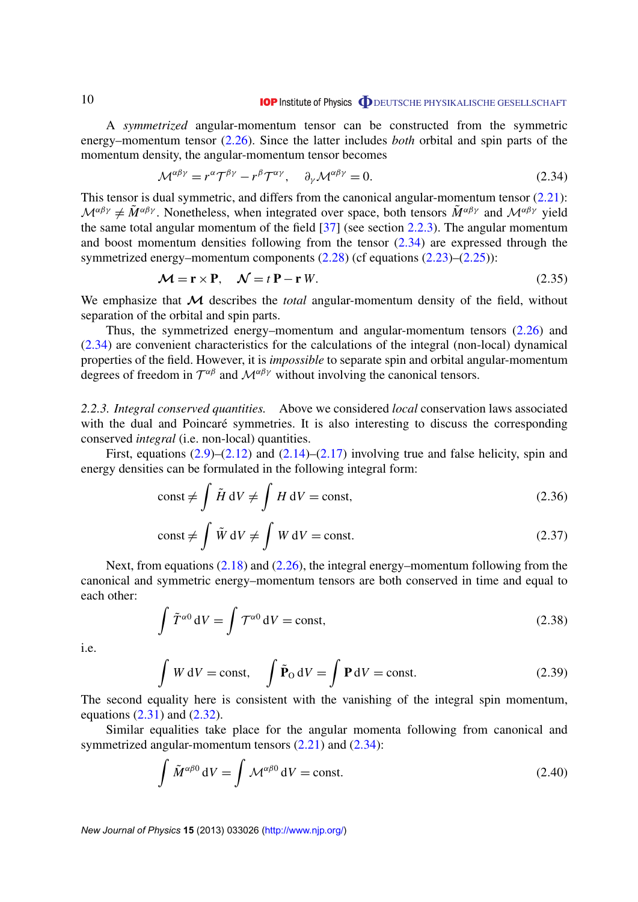# **IOP** Institute of Physics **ODEUTSCHE PHYSIKALISCHE GESELLSCHAFT**

<span id="page-10-0"></span>A *symmetrized* angular-momentum tensor can be constructed from the symmetric energy–momentum tensor [\(2.26\)](#page-9-0). Since the latter includes *both* orbital and spin parts of the momentum density, the angular-momentum tensor becomes

$$
\mathcal{M}^{\alpha\beta\gamma} = r^{\alpha} \mathcal{T}^{\beta\gamma} - r^{\beta} \mathcal{T}^{\alpha\gamma}, \quad \partial_{\gamma} \mathcal{M}^{\alpha\beta\gamma} = 0.
$$
 (2.34)

This tensor is dual symmetric, and differs from the canonical angular-momentum tensor  $(2.21)$ :  $\mathcal{M}^{\alpha\beta\gamma} \neq \tilde{M}^{\alpha\beta\gamma}$ . Nonetheless, when integrated over space, both tensors  $\tilde{M}^{\alpha\beta\gamma}$  and  $\mathcal{M}^{\alpha\beta\gamma}$  yield the same total angular momentum of the field [\[37\]](#page-27-0) (see section 2.2.3). The angular momentum and boost momentum densities following from the tensor (2.34) are expressed through the symmetrized energy–momentum components  $(2.28)$  (cf equations  $(2.23)$ – $(2.25)$ ):

$$
\mathcal{M} = \mathbf{r} \times \mathbf{P}, \quad \mathcal{N} = t\,\mathbf{P} - \mathbf{r}\,W. \tag{2.35}
$$

We emphasize that M describes the *total* angular-momentum density of the field, without separation of the orbital and spin parts.

Thus, the symmetrized energy–momentum and angular-momentum tensors [\(2.26\)](#page-9-0) and (2.34) are convenient characteristics for the calculations of the integral (non-local) dynamical properties of the field. However, it is *impossible* to separate spin and orbital angular-momentum degrees of freedom in  $\mathcal{T}^{\alpha\beta}$  and  $\mathcal{M}^{\alpha\beta\gamma}$  without involving the canonical tensors.

*2.2.3. Integral conserved quantities.* Above we considered *local* conservation laws associated with the dual and Poincaré symmetries. It is also interesting to discuss the corresponding conserved *integral* (i.e. non-local) quantities.

First, equations  $(2.9)$ – $(2.12)$  and  $(2.14)$ – $(2.17)$  involving true and false helicity, spin and energy densities can be formulated in the following integral form:

$$
const \neq \int \tilde{H} \, dV \neq \int H \, dV = const,
$$
\n(2.36)

$$
const \neq \int \tilde{W} \, dV \neq \int W \, dV = const.
$$
\n(2.37)

Next, from equations [\(2.18\)](#page-7-0) and [\(2.26\)](#page-9-0), the integral energy–momentum following from the canonical and symmetric energy–momentum tensors are both conserved in time and equal to each other:

$$
\int \tilde{T}^{\alpha 0} dV = \int \mathcal{T}^{\alpha 0} dV = \text{const},\tag{2.38}
$$

i.e.

$$
\int W dV = \text{const}, \quad \int \tilde{\mathbf{P}}_0 dV = \int \mathbf{P} dV = \text{const.}
$$
\n(2.39)

The second equality here is consistent with the vanishing of the integral spin momentum, equations  $(2.31)$  and  $(2.32)$ .

Similar equalities take place for the angular momenta following from canonical and symmetrized angular-momentum tensors [\(2.21\)](#page-8-0) and (2.34):

$$
\int \tilde{M}^{\alpha\beta 0} \, \mathrm{d}V = \int \mathcal{M}^{\alpha\beta 0} \, \mathrm{d}V = \text{const.}
$$
\n(2.40)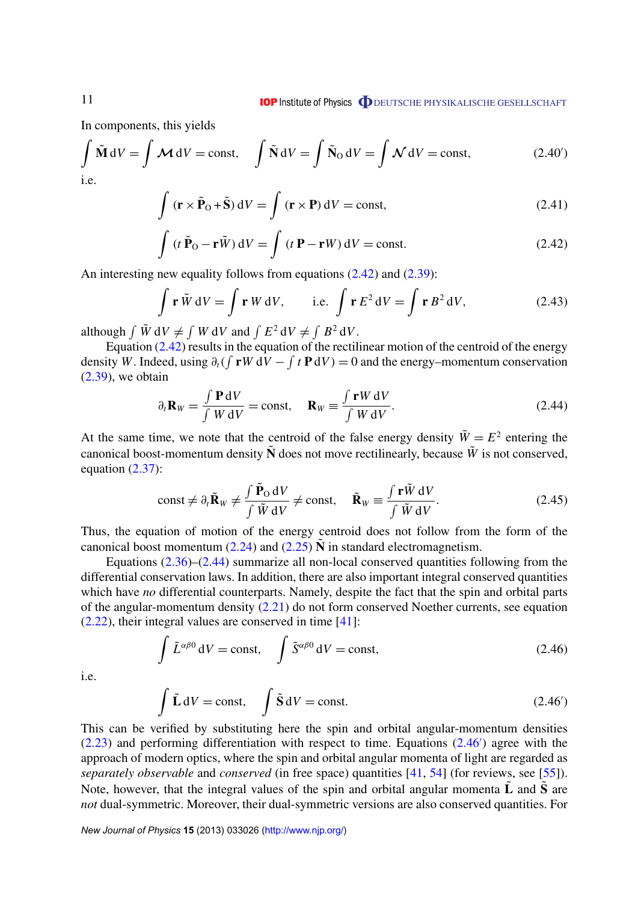<span id="page-11-0"></span>In components, this yields

$$
\int \tilde{\mathbf{M}} dV = \int \mathbf{M} dV = \text{const}, \quad \int \tilde{\mathbf{N}} dV = \int \tilde{\mathbf{N}}_0 dV = \int \mathbf{N} dV = \text{const}, \tag{2.40'}
$$

i.e.

$$
\int (\mathbf{r} \times \tilde{\mathbf{P}}_{\text{O}} + \tilde{\mathbf{S}}) \, \text{d}V = \int (\mathbf{r} \times \mathbf{P}) \, \text{d}V = \text{const},\tag{2.41}
$$

$$
\int (t \tilde{\mathbf{P}}_0 - \mathbf{r}\tilde{W}) dV = \int (t \mathbf{P} - \mathbf{r}W) dV = \text{const.}
$$
\n(2.42)

An interesting new equality follows from equations (2.42) and [\(2.39\)](#page-10-0):

$$
\int \mathbf{r} \,\tilde{W} \,dV = \int \mathbf{r} \,W \,dV, \qquad \text{i.e.} \int \mathbf{r} \,E^2 \,dV = \int \mathbf{r} \,B^2 \,dV, \tag{2.43}
$$

although  $\int \tilde{W} dV \neq \int W dV$  and  $\int E^2 dV \neq \int B^2 dV$ .

Equation  $(2.42)$  results in the equation of the rectilinear motion of the centroid of the energy density *W*. Indeed, using  $\partial_t (\int rW dV - \int t P dV) = 0$  and the energy–momentum conservation  $(2.39)$ , we obtain

$$
\partial_t \mathbf{R}_W = \frac{\int \mathbf{P} \, dV}{\int W \, dV} = \text{const}, \quad \mathbf{R}_W = \frac{\int \mathbf{r} W \, dV}{\int W \, dV}.
$$

At the same time, we note that the centroid of the false energy density  $\tilde{W} = E^2$  entering the canonical boost-momentum density  $\tilde{N}$  does not move rectilinearly, because  $\tilde{W}$  is not conserved, equation  $(2.37)$ :

$$
\text{const} \neq \partial_t \tilde{\mathbf{R}}_W \neq \frac{\int \tilde{\mathbf{P}}_O \, \mathrm{d}V}{\int \tilde{W} \, \mathrm{d}V} \neq \text{const}, \quad \tilde{\mathbf{R}}_W \equiv \frac{\int \mathbf{r} \tilde{W} \, \mathrm{d}V}{\int \tilde{W} \, \mathrm{d}V}.\tag{2.45}
$$

Thus, the equation of motion of the energy centroid does not follow from the form of the canonical boost momentum  $(2.24)$  and  $(2.25)$   $\tilde{N}$  in standard electromagnetism.

Equations [\(2.36\)](#page-10-0)–(2.44) summarize all non-local conserved quantities following from the differential conservation laws. In addition, there are also important integral conserved quantities which have *no* differential counterparts. Namely, despite the fact that the spin and orbital parts of the angular-momentum density [\(2.21\)](#page-8-0) do not form conserved Noether currents, see equation [\(2.22\)](#page-8-0), their integral values are conserved in time [\[41\]](#page-27-0):

$$
\int \tilde{L}^{\alpha\beta 0} dV = \text{const}, \quad \int \tilde{S}^{\alpha\beta 0} dV = \text{const}, \tag{2.46}
$$

i.e.

$$
\int \tilde{\mathbf{L}} dV = \text{const}, \quad \int \tilde{\mathbf{S}} dV = \text{const.}
$$
 (2.46')

This can be verified by substituting here the spin and orbital angular-momentum densities  $(2.23)$  and performing differentiation with respect to time. Equations  $(2.46')$  agree with the approach of modern optics, where the spin and orbital angular momenta of light are regarded as *separately observable* and *conserved* (in free space) quantities [\[41,](#page-27-0) [54\]](#page-28-0) (for reviews, see [\[55\]](#page-28-0)). Note, however, that the integral values of the spin and orbital angular momenta  $\tilde{L}$  and  $\tilde{S}$  are *not* dual-symmetric. Moreover, their dual-symmetric versions are also conserved quantities. For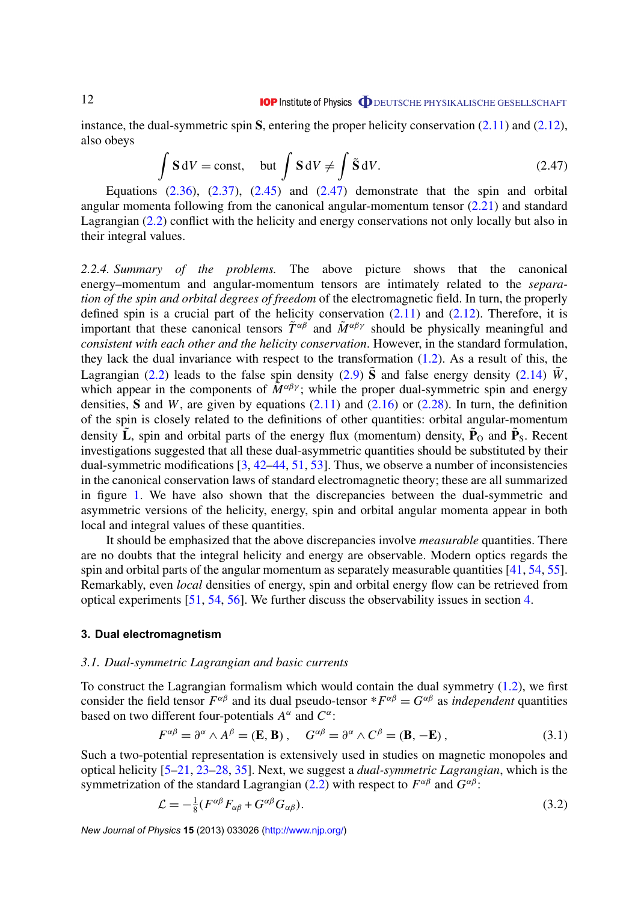<span id="page-12-0"></span>instance, the dual-symmetric spin **S**, entering the proper helicity conservation [\(2.11\)](#page-6-0) and [\(2.12\)](#page-6-0), also obeys

$$
\int S dV = \text{const}, \quad \text{but } \int S dV \neq \int \tilde{S} dV. \tag{2.47}
$$

Equations  $(2.36)$ ,  $(2.37)$ ,  $(2.45)$  and  $(2.47)$  demonstrate that the spin and orbital angular momenta following from the canonical angular-momentum tensor [\(2.21\)](#page-8-0) and standard Lagrangian [\(2.2\)](#page-5-0) conflict with the helicity and energy conservations not only locally but also in their integral values.

*2.2.4. Summary of the problems.* The above picture shows that the canonical energy–momentum and angular-momentum tensors are intimately related to the *separation of the spin and orbital degrees of freedom* of the electromagnetic field. In turn, the properly defined spin is a crucial part of the helicity conservation [\(2.11\)](#page-6-0) and [\(2.12\)](#page-6-0). Therefore, it is important that these canonical tensors  $\tilde{T}^{\alpha\beta}$  and  $\tilde{M}^{\alpha\beta\gamma}$  should be physically meaningful and *consistent with each other and the helicity conservation*. However, in the standard formulation, they lack the dual invariance with respect to the transformation  $(1.2)$ . As a result of this, the Lagrangian [\(2.2\)](#page-5-0) leads to the false spin density [\(2.9\)](#page-6-0)  $\tilde{S}$  and false energy density [\(2.14\)](#page-6-0)  $\tilde{W}$ , which appear in the components of  $\tilde{M}^{\alpha\beta\gamma}$ ; while the proper dual-symmetric spin and energy densities, S and *W*, are given by equations  $(2.11)$  and  $(2.16)$  or  $(2.28)$ . In turn, the definition of the spin is closely related to the definitions of other quantities: orbital angular-momentum density  $\tilde{\mathbf{L}}$ , spin and orbital parts of the energy flux (momentum) density,  $\tilde{\mathbf{P}}_0$  and  $\tilde{\mathbf{P}}_s$ . Recent investigations suggested that all these dual-asymmetric quantities should be substituted by their dual-symmetric modifications [\[3,](#page-26-0) [42–44,](#page-27-0) [51,](#page-28-0) [53\]](#page-28-0). Thus, we observe a number of inconsistencies in the canonical conservation laws of standard electromagnetic theory; these are all summarized in figure [1.](#page-13-0) We have also shown that the discrepancies between the dual-symmetric and asymmetric versions of the helicity, energy, spin and orbital angular momenta appear in both local and integral values of these quantities.

It should be emphasized that the above discrepancies involve *measurable* quantities. There are no doubts that the integral helicity and energy are observable. Modern optics regards the spin and orbital parts of the angular momentum as separately measurable quantities [\[41,](#page-27-0) [54,](#page-28-0) [55\]](#page-28-0). Remarkably, even *local* densities of energy, spin and orbital energy flow can be retrieved from optical experiments [\[51,](#page-28-0) [54,](#page-28-0) [56\]](#page-28-0). We further discuss the observability issues in section [4.](#page-20-0)

#### **3. Dual electromagnetism**

# *3.1. Dual-symmetric Lagrangian and basic currents*

To construct the Lagrangian formalism which would contain the dual symmetry [\(1.2\)](#page-2-0), we first consider the field tensor  $F^{\alpha\beta}$  and its dual pseudo-tensor  $*F^{\alpha\beta} = G^{\alpha\beta}$  as *independent* quantities based on two different four-potentials  $A^{\alpha}$  and  $C^{\alpha}$ :

$$
F^{\alpha\beta} = \partial^{\alpha} \wedge A^{\beta} = (\mathbf{E}, \mathbf{B}), \quad G^{\alpha\beta} = \partial^{\alpha} \wedge C^{\beta} = (\mathbf{B}, -\mathbf{E}), \tag{3.1}
$$

Such a two-potential representation is extensively used in studies on magnetic monopoles and optical helicity [\[5–](#page-26-0)[21,](#page-27-0) [23–28,](#page-27-0) [35\]](#page-27-0). Next, we suggest a *dual-symmetric Lagrangian*, which is the symmetrization of the standard Lagrangian [\(2.2\)](#page-5-0) with respect to  $F^{\alpha\beta}$  and  $G^{\alpha\beta}$ :

$$
\mathcal{L} = -\frac{1}{8} (F^{\alpha\beta} F_{\alpha\beta} + G^{\alpha\beta} G_{\alpha\beta}).
$$
\n(3.2)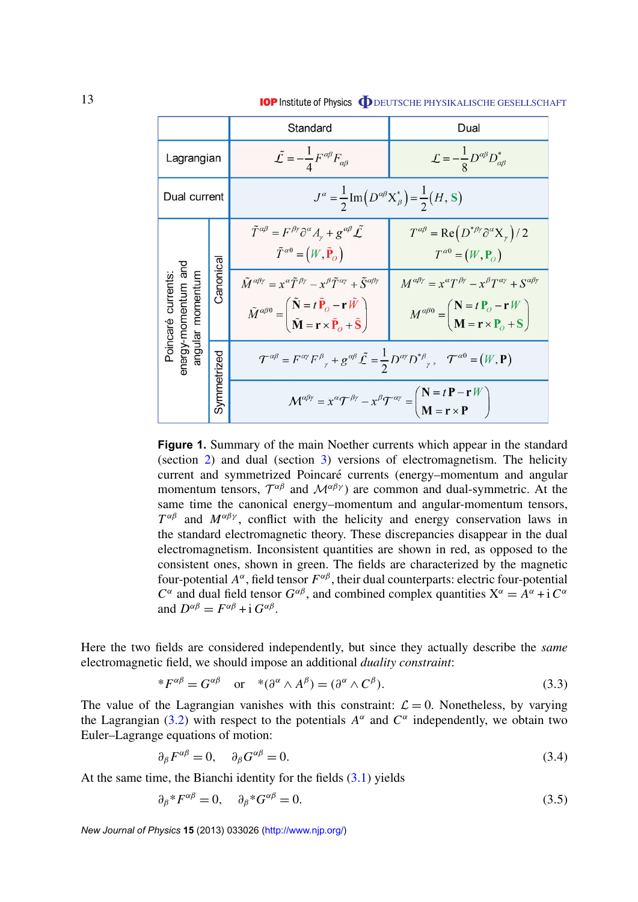<span id="page-13-0"></span>

|                             |             | Standard                                                                                                                                                                                                                                                                                                  | Dual                                                                                                                                                                                                                                            |  |
|-----------------------------|-------------|-----------------------------------------------------------------------------------------------------------------------------------------------------------------------------------------------------------------------------------------------------------------------------------------------------------|-------------------------------------------------------------------------------------------------------------------------------------------------------------------------------------------------------------------------------------------------|--|
| Lagrangian                  |             | $\tilde{\mathcal{L}} = -\frac{1}{4} F^{\alpha\beta} F_{\alpha\beta}$                                                                                                                                                                                                                                      | $\mathcal{L} = -\frac{1}{8} D^{\alpha\beta} D^*_{\alpha\beta}$                                                                                                                                                                                  |  |
| Dual current                |             | $J^{\alpha} = \frac{1}{2}$ Im $(D^{\alpha\beta}X^*_{\beta}) = \frac{1}{2}(H, S)$                                                                                                                                                                                                                          |                                                                                                                                                                                                                                                 |  |
| currents:<br>momentum       | Canonical   | $\tilde{T}^{\alpha\beta} = F^{\beta\gamma}\partial^{\alpha} A_{\gamma} + g^{\alpha\beta}\tilde{\mathcal{L}}$<br>$\tilde{T}^{a0} = (W, \tilde{\mathbf{P}}_O)$<br>$\tilde{M}^{\alpha\beta\gamma} = x^{\alpha} \tilde{T}^{\beta\gamma} - x^{\beta} \tilde{T}^{\alpha\gamma} + \tilde{S}^{\alpha\beta\gamma}$ | $T^{\alpha\beta} = \text{Re}\left(D^{*\beta\gamma}\partial^{\alpha}X_{\gamma}\right)/2$<br>$T^{\alpha 0} = (W, \mathbf{P}_{\alpha})$<br>$M^{\alpha\beta\gamma} = x^{\alpha}T^{\beta\gamma} - x^{\beta}T^{\alpha\gamma} + S^{\alpha\beta\gamma}$ |  |
| energy-momentum<br>Poincaré |             | $\tilde{M}^{\alpha\beta 0} = \begin{pmatrix} \tilde{\mathbf{N}} = t \tilde{\mathbf{P}}_{\alpha} - \mathbf{r} \tilde{W} \\ \tilde{\mathbf{M}} = \mathbf{r} \times \tilde{\mathbf{P}}_{\alpha} + \tilde{\mathbf{S}} \end{pmatrix}$                                                                          | $M^{\alpha\beta 0} = \begin{pmatrix} \mathbf{N} = t \, \mathbf{P}_0 - \mathbf{r} \, W \\ \mathbf{M} = \mathbf{r} \times \mathbf{P}_0 + \mathbf{S} \end{pmatrix}$                                                                                |  |
| angular                     | Symmetrized | $\mathcal{T}^{\alpha\beta} = F^{\alpha\gamma} F^{\beta}_{\gamma} + g^{\alpha\beta} \tilde{\mathcal{L}} = \frac{1}{2} D^{\alpha\gamma} D^{*\beta}_{\gamma}, \quad \mathcal{T}^{\alpha 0} = (W, \mathbf{P})$                                                                                                |                                                                                                                                                                                                                                                 |  |
|                             |             | $\mathcal{M}^{\alpha\beta\gamma} = x^{\alpha} \mathcal{T}^{\beta\gamma} - x^{\beta} \mathcal{T}^{\alpha\gamma} = \begin{pmatrix} \mathbf{N} = t\, \mathbf{P} - \mathbf{r} \, W \\ \mathbf{M} = \mathbf{r} \times \mathbf{P} \end{pmatrix}$                                                                |                                                                                                                                                                                                                                                 |  |

**Figure 1.** Summary of the main Noether currents which appear in the standard (section [2\)](#page-4-0) and dual (section [3\)](#page-12-0) versions of electromagnetism. The helicity current and symmetrized Poincaré currents (energy–momentum and angular momentum tensors,  $T^{\alpha\beta}$  and  $\mathcal{M}^{\alpha\beta\gamma}$ ) are common and dual-symmetric. At the same time the canonical energy–momentum and angular-momentum tensors,  $T^{\alpha\beta}$  and  $M^{\alpha\beta\gamma}$ , conflict with the helicity and energy conservation laws in the standard electromagnetic theory. These discrepancies disappear in the dual electromagnetism. Inconsistent quantities are shown in red, as opposed to the consistent ones, shown in green. The fields are characterized by the magnetic four-potential  $A^{\alpha}$ , field tensor  $F^{\alpha\beta}$ , their dual counterparts: electric four-potential  $C^{\alpha}$  and dual field tensor  $G^{\alpha\beta}$ , and combined complex quantities  $X^{\alpha} = A^{\alpha} + i C^{\alpha}$ and  $D^{\alpha\beta} = F^{\alpha\beta} + i G^{\alpha\beta}$ .

Here the two fields are considered independently, but since they actually describe the *same* electromagnetic field, we should impose an additional *duality constraint*:

$$
*F^{\alpha\beta} = G^{\alpha\beta}
$$
 or  $*(\partial^{\alpha} \wedge A^{\beta}) = (\partial^{\alpha} \wedge C^{\beta}).$  (3.3)

The value of the Lagrangian vanishes with this constraint:  $\mathcal{L} = 0$ . Nonetheless, by varying the Lagrangian [\(3.2\)](#page-12-0) with respect to the potentials  $A^{\alpha}$  and  $C^{\alpha}$  independently, we obtain two Euler–Lagrange equations of motion:

$$
\partial_{\beta} F^{\alpha \beta} = 0, \quad \partial_{\beta} G^{\alpha \beta} = 0. \tag{3.4}
$$

At the same time, the Bianchi identity for the fields  $(3.1)$  yields

$$
\partial_{\beta} * F^{\alpha\beta} = 0, \quad \partial_{\beta} * G^{\alpha\beta} = 0.
$$
\n(3.5)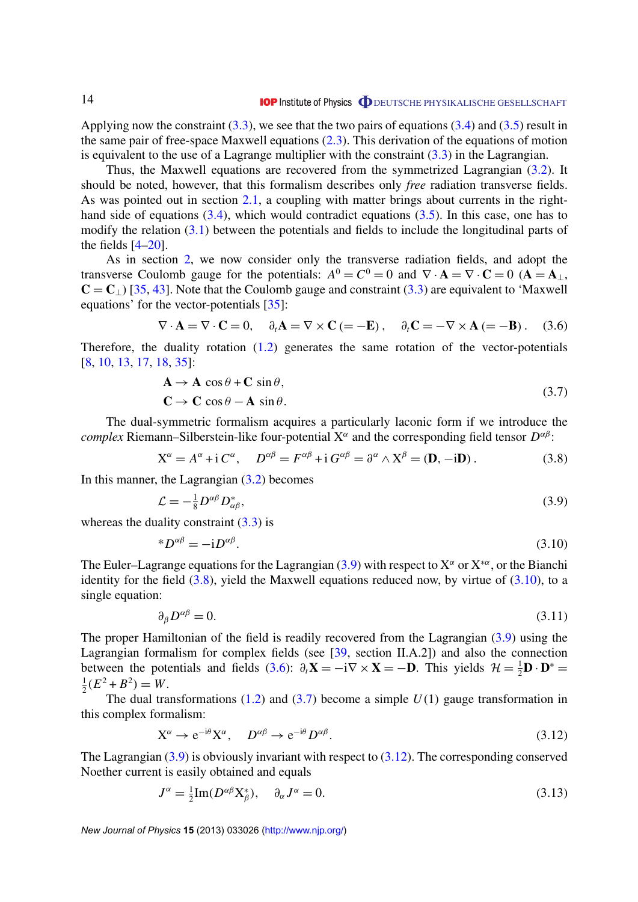<span id="page-14-0"></span>Applying now the constraint  $(3.3)$ , we see that the two pairs of equations  $(3.4)$  and  $(3.5)$  result in the same pair of free-space Maxwell equations [\(2.3\)](#page-5-0). This derivation of the equations of motion is equivalent to the use of a Lagrange multiplier with the constraint  $(3.3)$  in the Lagrangian.

Thus, the Maxwell equations are recovered from the symmetrized Lagrangian [\(3.2\)](#page-12-0). It should be noted, however, that this formalism describes only *free* radiation transverse fields. As was pointed out in section [2.1,](#page-4-0) a coupling with matter brings about currents in the righthand side of equations  $(3.4)$ , which would contradict equations  $(3.5)$ . In this case, one has to modify the relation [\(3.1\)](#page-12-0) between the potentials and fields to include the longitudinal parts of the fields  $[4-20]$  $[4-20]$ .

As in section [2,](#page-4-0) we now consider only the transverse radiation fields, and adopt the transverse Coulomb gauge for the potentials:  $A^0 = C^0 = 0$  and  $\nabla \cdot \mathbf{A} = \nabla \cdot \mathbf{C} = 0$  ( $\mathbf{A} = \mathbf{A}_{\perp}$ ,  $C = C_1$ ) [\[35,](#page-27-0) [43\]](#page-27-0). Note that the Coulomb gauge and constraint [\(3.3\)](#page-13-0) are equivalent to 'Maxwell equations' for the vector-potentials [\[35\]](#page-27-0):

$$
\nabla \cdot \mathbf{A} = \nabla \cdot \mathbf{C} = 0, \quad \partial_t \mathbf{A} = \nabla \times \mathbf{C} (= -\mathbf{E}), \quad \partial_t \mathbf{C} = -\nabla \times \mathbf{A} (= -\mathbf{B}). \tag{3.6}
$$

Therefore, the duality rotation [\(1.2\)](#page-2-0) generates the same rotation of the vector-potentials [\[8,](#page-26-0) [10,](#page-26-0) [13,](#page-27-0) [17,](#page-27-0) [18,](#page-27-0) [35\]](#page-27-0):

$$
\mathbf{A} \to \mathbf{A} \cos \theta + \mathbf{C} \sin \theta, \n\mathbf{C} \to \mathbf{C} \cos \theta - \mathbf{A} \sin \theta.
$$
\n(3.7)

The dual-symmetric formalism acquires a particularly laconic form if we introduce the *complex* Riemann–Silberstein-like four-potential X<sup>α</sup> and the corresponding field tensor  $D^{\alpha\beta}$ :

$$
X^{\alpha} = A^{\alpha} + i C^{\alpha}, \quad D^{\alpha \beta} = F^{\alpha \beta} + i G^{\alpha \beta} = \partial^{\alpha} \wedge X^{\beta} = (\mathbf{D}, -i\mathbf{D}). \tag{3.8}
$$

In this manner, the Lagrangian  $(3.2)$  becomes

$$
\mathcal{L} = -\frac{1}{8} D^{\alpha\beta} D^*_{\alpha\beta},\tag{3.9}
$$

whereas the duality constraint  $(3.3)$  is

$$
^*D^{\alpha\beta} = -iD^{\alpha\beta}.\tag{3.10}
$$

The Euler–Lagrange equations for the Lagrangian (3.9) with respect to  $X^{\alpha}$  or  $X^{*\alpha}$ , or the Bianchi identity for the field  $(3.8)$ , yield the Maxwell equations reduced now, by virtue of  $(3.10)$ , to a single equation:

$$
\partial_{\beta}D^{\alpha\beta} = 0. \tag{3.11}
$$

The proper Hamiltonian of the field is readily recovered from the Lagrangian (3.9) using the Lagrangian formalism for complex fields (see [\[39,](#page-27-0) section II.A.2]) and also the connection between the potentials and fields (3.6):  $\partial_t \mathbf{X} = -i \nabla \times \mathbf{X} = -\mathbf{D}$ . This yields  $\mathcal{H} = \frac{1}{2} \mathbf{D} \cdot \mathbf{D}^* =$ 1  $\frac{1}{2}(E^2 + B^2) = W.$ 

The dual transformations  $(1.2)$  and  $(3.7)$  become a simple  $U(1)$  gauge transformation in this complex formalism:

$$
X^{\alpha} \to e^{-i\theta} X^{\alpha}, \quad D^{\alpha\beta} \to e^{-i\theta} D^{\alpha\beta}.
$$
 (3.12)

The Lagrangian  $(3.9)$  is obviously invariant with respect to  $(3.12)$ . The corresponding conserved Noether current is easily obtained and equals

$$
J^{\alpha} = \frac{1}{2} \text{Im}(D^{\alpha \beta} X_{\beta}^{*}), \quad \partial_{\alpha} J^{\alpha} = 0. \tag{3.13}
$$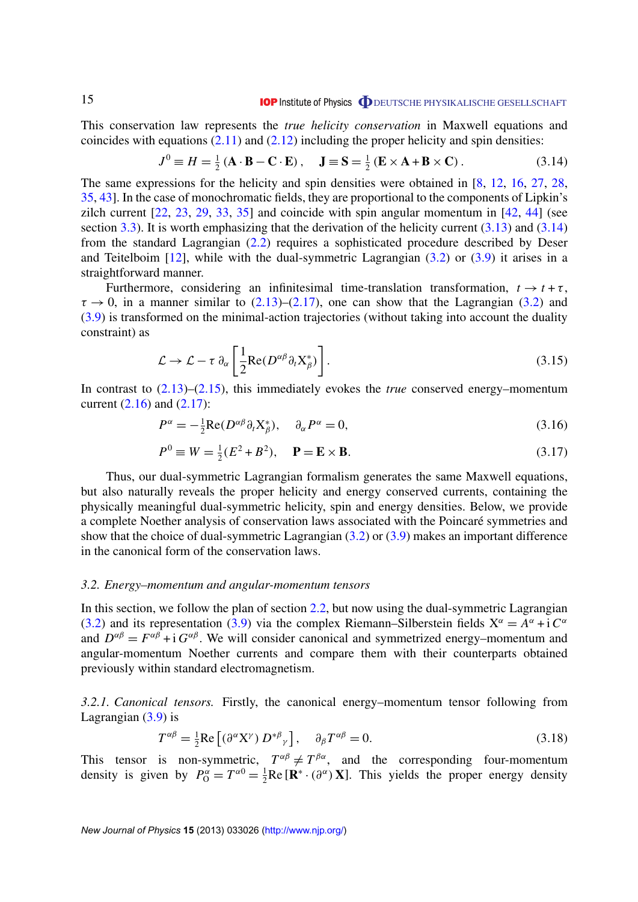<span id="page-15-0"></span>This conservation law represents the *true helicity conservation* in Maxwell equations and coincides with equations  $(2.11)$  and  $(2.12)$  including the proper helicity and spin densities:

$$
J^{0} \equiv H = \frac{1}{2} \left( \mathbf{A} \cdot \mathbf{B} - \mathbf{C} \cdot \mathbf{E} \right), \quad \mathbf{J} \equiv \mathbf{S} = \frac{1}{2} \left( \mathbf{E} \times \mathbf{A} + \mathbf{B} \times \mathbf{C} \right). \tag{3.14}
$$

The same expressions for the helicity and spin densities were obtained in [\[8,](#page-26-0) [12,](#page-26-0) [16,](#page-27-0) [27,](#page-27-0) [28,](#page-27-0) [35,](#page-27-0) [43\]](#page-27-0). In the case of monochromatic fields, they are proportional to the components of Lipkin's zilch current  $[22, 23, 29, 33, 35]$  $[22, 23, 29, 33, 35]$  $[22, 23, 29, 33, 35]$  $[22, 23, 29, 33, 35]$  $[22, 23, 29, 33, 35]$  $[22, 23, 29, 33, 35]$  $[22, 23, 29, 33, 35]$  $[22, 23, 29, 33, 35]$  $[22, 23, 29, 33, 35]$  and coincide with spin angular momentum in  $[42, 44]$  $[42, 44]$  $[42, 44]$  (see section [3.3\)](#page-18-0). It is worth emphasizing that the derivation of the helicity current  $(3.13)$  and  $(3.14)$ from the standard Lagrangian [\(2.2\)](#page-5-0) requires a sophisticated procedure described by Deser and Teitelboim  $[12]$ , while with the dual-symmetric Lagrangian  $(3.2)$  or  $(3.9)$  it arises in a straightforward manner.

Furthermore, considering an infinitesimal time-translation transformation,  $t \to t + \tau$ ,  $\tau \rightarrow 0$ , in a manner similar to [\(2.13\)](#page-6-0)–[\(2.17\)](#page-7-0), one can show that the Lagrangian [\(3.2\)](#page-12-0) and [\(3.9\)](#page-14-0) is transformed on the minimal-action trajectories (without taking into account the duality constraint) as

$$
\mathcal{L} \to \mathcal{L} - \tau \partial_{\alpha} \left[ \frac{1}{2} \text{Re}(D^{\alpha \beta} \partial_{t} X_{\beta}^{*}) \right]. \tag{3.15}
$$

In contrast to [\(2.13\)](#page-6-0)–[\(2.15\)](#page-6-0), this immediately evokes the *true* conserved energy–momentum current  $(2.16)$  and  $(2.17)$ :

$$
P^{\alpha} = -\frac{1}{2} \text{Re}(D^{\alpha \beta} \partial_t X^*_{\beta}), \quad \partial_{\alpha} P^{\alpha} = 0,
$$
\n(3.16)

$$
P^{0} \equiv W = \frac{1}{2}(E^{2} + B^{2}), \quad \mathbf{P} = \mathbf{E} \times \mathbf{B}.
$$
 (3.17)

Thus, our dual-symmetric Lagrangian formalism generates the same Maxwell equations, but also naturally reveals the proper helicity and energy conserved currents, containing the physically meaningful dual-symmetric helicity, spin and energy densities. Below, we provide a complete Noether analysis of conservation laws associated with the Poincaré symmetries and show that the choice of dual-symmetric Lagrangian [\(3.2\)](#page-12-0) or [\(3.9\)](#page-14-0) makes an important difference in the canonical form of the conservation laws.

#### *3.2. Energy–momentum and angular-momentum tensors*

In this section, we follow the plan of section [2.2,](#page-7-0) but now using the dual-symmetric Lagrangian [\(3.2\)](#page-12-0) and its representation [\(3.9\)](#page-14-0) via the complex Riemann–Silberstein fields  $X^{\alpha} = A^{\alpha} + i C^{\alpha}$ and  $D^{\alpha\beta} = F^{\alpha\beta} + i G^{\alpha\beta}$ . We will consider canonical and symmetrized energy–momentum and angular-momentum Noether currents and compare them with their counterparts obtained previously within standard electromagnetism.

*3.2.1. Canonical tensors.* Firstly, the canonical energy–momentum tensor following from Lagrangian [\(3.9\)](#page-14-0) is

$$
T^{\alpha\beta} = \frac{1}{2} \text{Re} \left[ \left( \partial^{\alpha} X^{\gamma} \right) D^{*\beta}{}_{\gamma} \right], \quad \partial_{\beta} T^{\alpha\beta} = 0. \tag{3.18}
$$

This tensor is non-symmetric,  $T^{\alpha\beta} \neq T^{\beta\alpha}$ , and the corresponding four-momentum density is given by  $P_0^{\alpha} = T^{\alpha 0} = \frac{1}{2}$  $\frac{1}{2}$ Re [**R**<sup>\*</sup> · ( $\partial^{\alpha}$ ) **X**]. This yields the proper energy density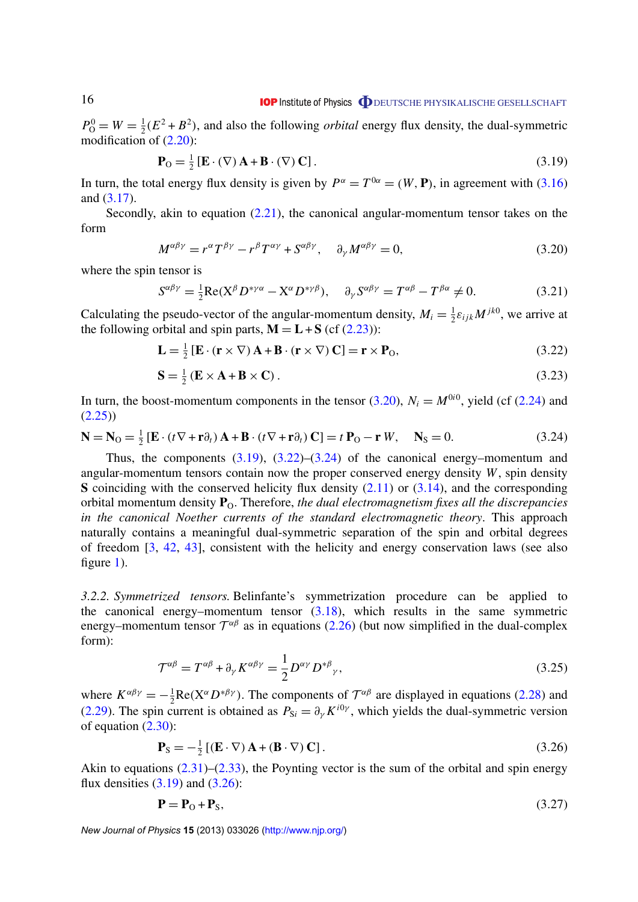<span id="page-16-0"></span> $P_{\rm O}^0 = W = \frac{1}{2}$  $\frac{1}{2}(E^2 + B^2)$ , and also the following *orbital* energy flux density, the dual-symmetric modification of [\(2.20\)](#page-7-0):

$$
\mathbf{P}_{\mathbf{O}} = \frac{1}{2} \left[ \mathbf{E} \cdot (\nabla) \mathbf{A} + \mathbf{B} \cdot (\nabla) \mathbf{C} \right]. \tag{3.19}
$$

In turn, the total energy flux density is given by  $P^{\alpha} = T^{0\alpha} = (W, \mathbf{P})$ , in agreement with [\(3.16\)](#page-15-0) and [\(3.17\)](#page-15-0).

Secondly, akin to equation [\(2.21\)](#page-8-0), the canonical angular-momentum tensor takes on the form

$$
M^{\alpha\beta\gamma} = r^{\alpha}T^{\beta\gamma} - r^{\beta}T^{\alpha\gamma} + S^{\alpha\beta\gamma}, \quad \partial_{\gamma}M^{\alpha\beta\gamma} = 0,
$$
\n(3.20)

where the spin tensor is

$$
S^{\alpha\beta\gamma} = \frac{1}{2} \text{Re}(X^{\beta} D^{*\gamma\alpha} - X^{\alpha} D^{*\gamma\beta}), \quad \partial_{\gamma} S^{\alpha\beta\gamma} = T^{\alpha\beta} - T^{\beta\alpha} \neq 0. \tag{3.21}
$$

Calculating the pseudo-vector of the angular-momentum density,  $M_i = \frac{1}{2}$  $\frac{1}{2} \varepsilon_{ijk} M^{jk0}$ , we arrive at the following orbital and spin parts,  $M = L + S$  (cf [\(2.23\)](#page-8-0)):

$$
\mathbf{L} = \frac{1}{2} \left[ \mathbf{E} \cdot (\mathbf{r} \times \nabla) \mathbf{A} + \mathbf{B} \cdot (\mathbf{r} \times \nabla) \mathbf{C} \right] = \mathbf{r} \times \mathbf{P}_{0},\tag{3.22}
$$

$$
\mathbf{S} = \frac{1}{2} \left( \mathbf{E} \times \mathbf{A} + \mathbf{B} \times \mathbf{C} \right). \tag{3.23}
$$

In turn, the boost-momentum components in the tensor  $(3.20)$ ,  $N_i = M^{0i0}$ , yield (cf  $(2.24)$ ) and  $(2.25)$ 

$$
\mathbf{N} = \mathbf{N}_0 = \frac{1}{2} \left[ \mathbf{E} \cdot (t \nabla + \mathbf{r} \partial_t) \mathbf{A} + \mathbf{B} \cdot (t \nabla + \mathbf{r} \partial_t) \mathbf{C} \right] = t \, \mathbf{P}_0 - \mathbf{r} \, W, \quad \mathbf{N}_S = 0. \tag{3.24}
$$

Thus, the components  $(3.19)$ ,  $(3.22)$ – $(3.24)$  of the canonical energy–momentum and angular-momentum tensors contain now the proper conserved energy density *W*, spin density **S** coinciding with the conserved helicity flux density [\(2.11\)](#page-6-0) or [\(3.14\)](#page-15-0), and the corresponding orbital momentum density  $P_0$ . Therefore, *the dual electromagnetism fixes all the discrepancies in the canonical Noether currents of the standard electromagnetic theory*. This approach naturally contains a meaningful dual-symmetric separation of the spin and orbital degrees of freedom [\[3,](#page-26-0) [42,](#page-27-0) [43\]](#page-27-0), consistent with the helicity and energy conservation laws (see also figure [1\)](#page-13-0).

*3.2.2. Symmetrized tensors.* Belinfante's symmetrization procedure can be applied to the canonical energy–momentum tensor  $(3.18)$ , which results in the same symmetric energy–momentum tensor  $T^{\alpha\beta}$  as in equations [\(2.26\)](#page-9-0) (but now simplified in the dual-complex form):

$$
\mathcal{T}^{\alpha\beta} = T^{\alpha\beta} + \partial_{\gamma} K^{\alpha\beta\gamma} = \frac{1}{2} D^{\alpha\gamma} D^{*\beta}{}_{\gamma},\tag{3.25}
$$

where  $K^{\alpha\beta\gamma} = -\frac{1}{2}$  $\frac{1}{2}$ Re(X<sup> $\alpha$ </sup>D<sup>\*βγ</sup>). The components of  $\mathcal{T}^{\alpha\beta}$  are displayed in equations [\(2.28\)](#page-9-0) and [\(2.29\)](#page-9-0). The spin current is obtained as  $P_{\text{Si}} = \partial_{\gamma} K^{i0\gamma}$ , which yields the dual-symmetric version of equation [\(2.30\)](#page-9-0):

$$
\mathbf{P}_{\mathbf{S}} = -\frac{1}{2} \left[ (\mathbf{E} \cdot \nabla) \mathbf{A} + (\mathbf{B} \cdot \nabla) \mathbf{C} \right]. \tag{3.26}
$$

Akin to equations  $(2.31)$ – $(2.33)$ , the Poynting vector is the sum of the orbital and spin energy flux densities  $(3.19)$  and  $(3.26)$ :

$$
\mathbf{P} = \mathbf{P}_0 + \mathbf{P}_S,\tag{3.27}
$$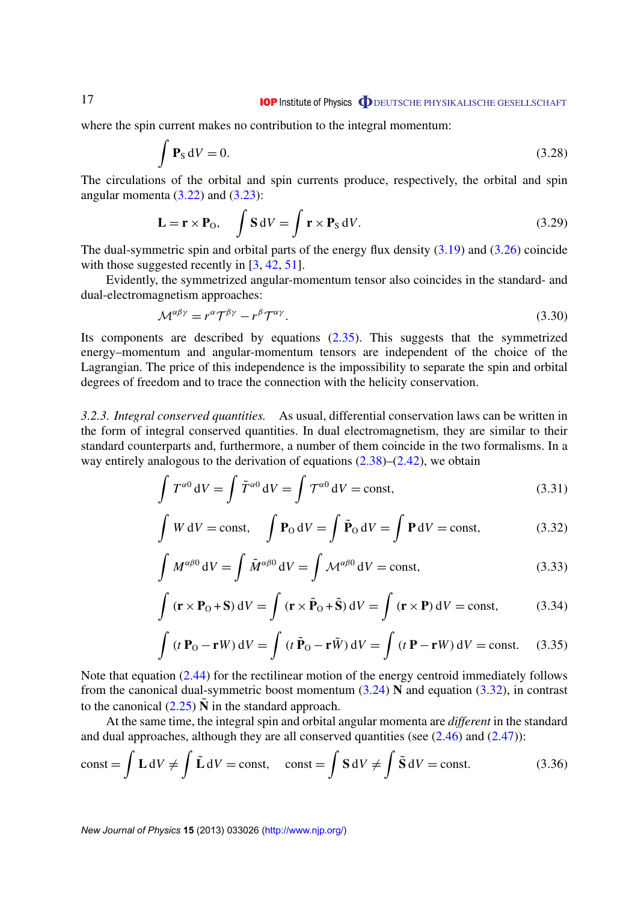<span id="page-17-0"></span>where the spin current makes no contribution to the integral momentum:

$$
\int \mathbf{P}_\mathrm{S} \, \mathrm{d}V = 0. \tag{3.28}
$$

The circulations of the orbital and spin currents produce, respectively, the orbital and spin angular momenta  $(3.22)$  and  $(3.23)$ :

$$
\mathbf{L} = \mathbf{r} \times \mathbf{P}_0, \quad \int \mathbf{S} \, dV = \int \mathbf{r} \times \mathbf{P}_S \, dV. \tag{3.29}
$$

The dual-symmetric spin and orbital parts of the energy flux density [\(3.19\)](#page-16-0) and [\(3.26\)](#page-16-0) coincide with those suggested recently in [\[3,](#page-26-0) [42,](#page-27-0) [51\]](#page-28-0).

Evidently, the symmetrized angular-momentum tensor also coincides in the standard- and dual-electromagnetism approaches:

$$
\mathcal{M}^{\alpha\beta\gamma} = r^{\alpha} \mathcal{T}^{\beta\gamma} - r^{\beta} \mathcal{T}^{\alpha\gamma}.
$$
\n(3.30)

Its components are described by equations  $(2.35)$ . This suggests that the symmetrized energy–momentum and angular-momentum tensors are independent of the choice of the Lagrangian. The price of this independence is the impossibility to separate the spin and orbital degrees of freedom and to trace the connection with the helicity conservation.

*3.2.3. Integral conserved quantities.* As usual, differential conservation laws can be written in the form of integral conserved quantities. In dual electromagnetism, they are similar to their standard counterparts and, furthermore, a number of them coincide in the two formalisms. In a way entirely analogous to the derivation of equations  $(2.38)$ – $(2.42)$ , we obtain

$$
\int T^{\alpha 0} dV = \int \tilde{T}^{\alpha 0} dV = \int T^{\alpha 0} dV = \text{const},\tag{3.31}
$$

$$
\int W dV = \text{const}, \quad \int \mathbf{P}_0 dV = \int \tilde{\mathbf{P}}_0 dV = \int \mathbf{P} dV = \text{const}, \tag{3.32}
$$

$$
\int M^{\alpha\beta 0} dV = \int \tilde{M}^{\alpha\beta 0} dV = \int \mathcal{M}^{\alpha\beta 0} dV = \text{const},
$$
\n(3.33)

$$
\int (\mathbf{r} \times \mathbf{P}_0 + \mathbf{S}) dV = \int (\mathbf{r} \times \tilde{\mathbf{P}}_0 + \tilde{\mathbf{S}}) dV = \int (\mathbf{r} \times \mathbf{P}) dV = \text{const},
$$
 (3.34)

$$
\int (t \, \mathbf{P}_0 - \mathbf{r} W) \, dV = \int (t \, \tilde{\mathbf{P}}_0 - \mathbf{r} \tilde{W}) \, dV = \int (t \, \mathbf{P} - \mathbf{r} W) \, dV = \text{const.}
$$
 (3.35)

Note that equation [\(2.44\)](#page-11-0) for the rectilinear motion of the energy centroid immediately follows from the canonical dual-symmetric boost momentum [\(3.24\)](#page-16-0) **N** and equation (3.32), in contrast to the canonical  $(2.25)$   $\tilde{N}$  in the standard approach.

At the same time, the integral spin and orbital angular momenta are *different* in the standard and dual approaches, although they are all conserved quantities (see  $(2.46)$  and  $(2.47)$ ):

$$
const = \int L dV \neq \int \tilde{L} dV = const, \quad const = \int S dV \neq \int \tilde{S} dV = const. \tag{3.36}
$$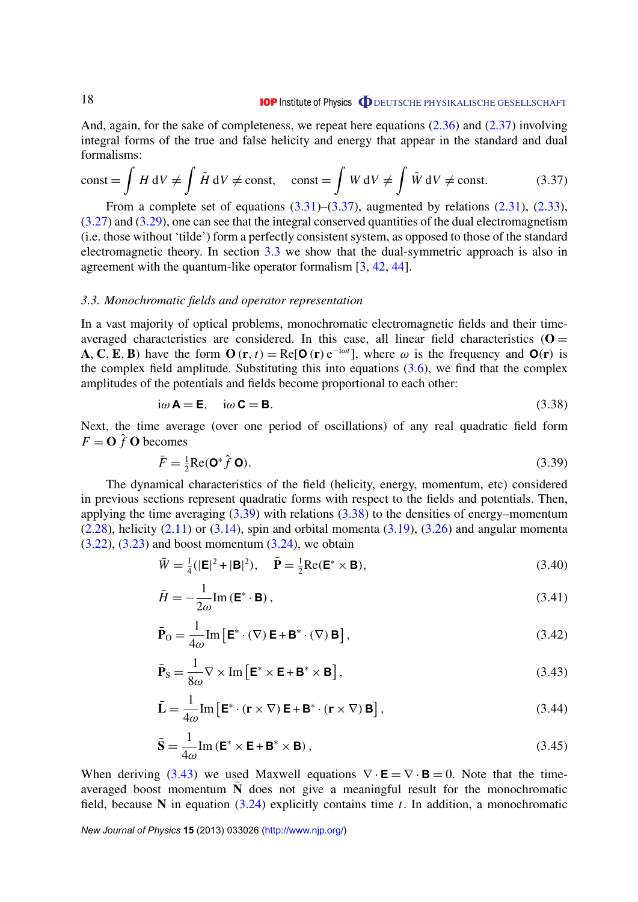<span id="page-18-0"></span>And, again, for the sake of completeness, we repeat here equations [\(2.36\)](#page-10-0) and [\(2.37\)](#page-10-0) involving integral forms of the true and false helicity and energy that appear in the standard and dual formalisms:

$$
const = \int H \, dV \neq \int \tilde{H} \, dV \neq const, \quad const = \int W \, dV \neq \int \tilde{W} \, dV \neq const. \tag{3.37}
$$

From a complete set of equations  $(3.31)$ – $(3.37)$ , augmented by relations  $(2.31)$ ,  $(2.33)$ , [\(3.27\)](#page-16-0) and [\(3.29\)](#page-17-0), one can see that the integral conserved quantities of the dual electromagnetism (i.e. those without 'tilde') form a perfectly consistent system, as opposed to those of the standard electromagnetic theory. In section 3.3 we show that the dual-symmetric approach is also in agreement with the quantum-like operator formalism [\[3,](#page-26-0) [42,](#page-27-0) [44\]](#page-27-0).

# *3.3. Monochromatic fields and operator representation*

In a vast majority of optical problems, monochromatic electromagnetic fields and their timeaveraged characteristics are considered. In this case, all linear field characteristics  $(O =$ **A**, **C**, **E**, **B**) have the form **O** (**r**, *t*) = Re[**O** (**r**) e<sup>-iω*t*</sup>], where  $\omega$  is the frequency and **O**(**r**) is the complex field amplitude. Substituting this into equations  $(3.6)$ , we find that the complex amplitudes of the potentials and fields become proportional to each other:

$$
i\omega \mathbf{A} = \mathbf{E}, \quad i\omega \mathbf{C} = \mathbf{B}.
$$
 (3.38)

Next, the time average (over one period of oscillations) of any real quadratic field form  $F = \mathbf{0} \hat{f} \mathbf{0}$  becomes

$$
\bar{F} = \frac{1}{2} \text{Re}(\mathbf{O}^*) \hat{f}(\mathbf{O}).
$$
\n(3.39)

The dynamical characteristics of the field (helicity, energy, momentum, etc) considered in previous sections represent quadratic forms with respect to the fields and potentials. Then, applying the time averaging  $(3.39)$  with relations  $(3.38)$  to the densities of energy–momentum  $(2.28)$ , helicity  $(2.11)$  or  $(3.14)$ , spin and orbital momenta  $(3.19)$ ,  $(3.26)$  and angular momenta  $(3.22)$ ,  $(3.23)$  and boost momentum  $(3.24)$ , we obtain

$$
\bar{W} = \frac{1}{4} (|\mathbf{E}|^2 + |\mathbf{B}|^2), \quad \bar{\mathbf{P}} = \frac{1}{2} \text{Re}(\mathbf{E}^* \times \mathbf{B}), \tag{3.40}
$$

$$
\bar{H} = -\frac{1}{2\omega} \text{Im} \left( \mathbf{E}^* \cdot \mathbf{B} \right),\tag{3.41}
$$

$$
\bar{\mathbf{P}}_{\mathbf{O}} = \frac{1}{4\omega} \text{Im} \left[ \mathbf{E}^* \cdot (\nabla) \, \mathbf{E} + \mathbf{B}^* \cdot (\nabla) \, \mathbf{B} \right],\tag{3.42}
$$

$$
\bar{\mathbf{P}}_{\mathbf{S}} = \frac{1}{8\omega} \nabla \times \text{Im} \left[ \mathbf{E}^* \times \mathbf{E} + \mathbf{B}^* \times \mathbf{B} \right],\tag{3.43}
$$

$$
\bar{\mathbf{L}} = \frac{1}{4\omega} \text{Im} \left[ \mathbf{E}^* \cdot (\mathbf{r} \times \nabla) \, \mathbf{E} + \mathbf{B}^* \cdot (\mathbf{r} \times \nabla) \, \mathbf{B} \right],\tag{3.44}
$$

$$
\bar{\mathbf{S}} = \frac{1}{4\omega} \text{Im} \left( \mathbf{E}^* \times \mathbf{E} + \mathbf{B}^* \times \mathbf{B} \right),\tag{3.45}
$$

When deriving (3.43) we used Maxwell equations  $\nabla \cdot \mathbf{E} = \nabla \cdot \mathbf{B} = 0$ . Note that the timeaveraged boost momentum  $\overline{N}$  does not give a meaningful result for the monochromatic field, because **N** in equation [\(3.24\)](#page-16-0) explicitly contains time *t*. In addition, a monochromatic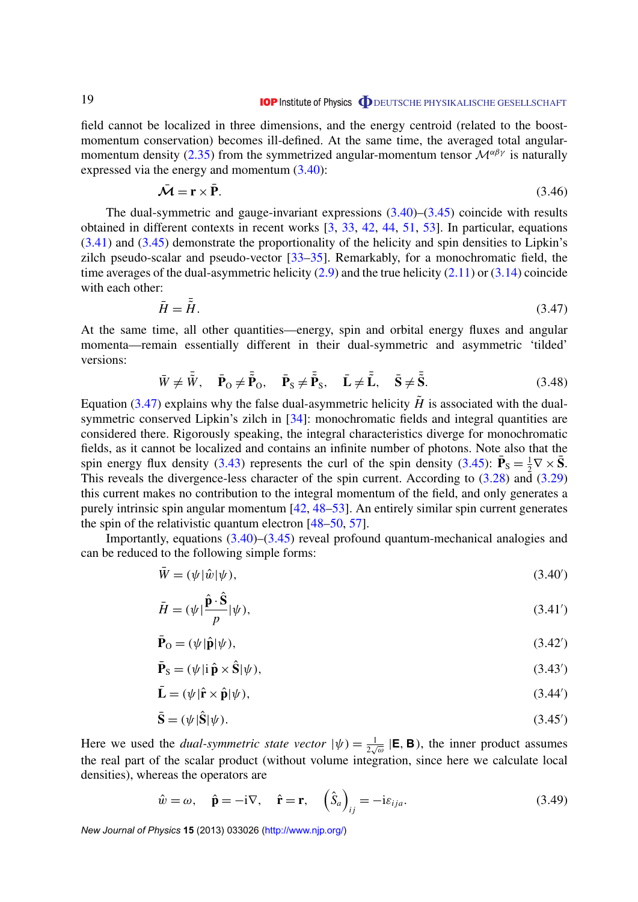<span id="page-19-0"></span>field cannot be localized in three dimensions, and the energy centroid (related to the boostmomentum conservation) becomes ill-defined. At the same time, the averaged total angular-momentum density [\(2.35\)](#page-10-0) from the symmetrized angular-momentum tensor  $\mathcal{M}^{\alpha\beta\gamma}$  is naturally expressed via the energy and momentum [\(3.40\)](#page-18-0):

$$
\bar{\mathcal{M}} = \mathbf{r} \times \bar{\mathbf{P}}.\tag{3.46}
$$

The dual-symmetric and gauge-invariant expressions  $(3.40)$ – $(3.45)$  coincide with results obtained in different contexts in recent works [\[3,](#page-26-0) [33,](#page-27-0) [42,](#page-27-0) [44,](#page-27-0) [51,](#page-28-0) [53\]](#page-28-0). In particular, equations [\(3.41\)](#page-18-0) and [\(3.45\)](#page-18-0) demonstrate the proportionality of the helicity and spin densities to Lipkin's zilch pseudo-scalar and pseudo-vector [\[33–35\]](#page-27-0). Remarkably, for a monochromatic field, the time averages of the dual-asymmetric helicity  $(2.9)$  and the true helicity  $(2.11)$  or  $(3.14)$  coincide with each other:

$$
\bar{H} = \bar{\tilde{H}}.\tag{3.47}
$$

At the same time, all other quantities—energy, spin and orbital energy fluxes and angular momenta—remain essentially different in their dual-symmetric and asymmetric 'tilded' versions:

$$
\bar{W} \neq \bar{\tilde{W}}, \quad \bar{\mathbf{P}}_{\text{O}} \neq \bar{\tilde{\mathbf{P}}}_{\text{O}}, \quad \bar{\mathbf{P}}_{\text{S}} \neq \bar{\tilde{\mathbf{P}}}_{\text{S}}, \quad \bar{\mathbf{L}} \neq \bar{\tilde{\mathbf{L}}}, \quad \bar{\mathbf{S}} \neq \bar{\tilde{\mathbf{S}}}.
$$
\n(3.48)

Equation (3.47) explains why the false dual-asymmetric helicity  $\tilde{H}$  is associated with the dual-symmetric conserved Lipkin's zilch in [\[34\]](#page-27-0): monochromatic fields and integral quantities are considered there. Rigorously speaking, the integral characteristics diverge for monochromatic fields, as it cannot be localized and contains an infinite number of photons. Note also that the spin energy flux density [\(3.43\)](#page-18-0) represents the curl of the spin density [\(3.45\)](#page-18-0):  $\overline{P}_{\overline{S}} = \frac{1}{2}$  $\frac{1}{2}\nabla \times \overline{\mathbf{S}}$ . This reveals the divergence-less character of the spin current. According to [\(3.28\)](#page-17-0) and [\(3.29\)](#page-17-0) this current makes no contribution to the integral momentum of the field, and only generates a purely intrinsic spin angular momentum [\[42,](#page-27-0) [48](#page-27-0)[–53\]](#page-28-0). An entirely similar spin current generates the spin of the relativistic quantum electron [\[48–50,](#page-27-0) [57\]](#page-28-0).

Importantly, equations [\(3.40\)](#page-18-0)–[\(3.45\)](#page-18-0) reveal profound quantum-mechanical analogies and can be reduced to the following simple forms:

$$
\bar{W} = (\psi | \hat{w} | \psi), \tag{3.40'}
$$

$$
\bar{H} = (\psi | \frac{\hat{\mathbf{p}} \cdot \hat{\mathbf{S}}}{p} | \psi),
$$
\n(3.41')

$$
\bar{\mathbf{P}}_{\mathbf{O}} = (\psi | \hat{\mathbf{p}} | \psi), \tag{3.42'}
$$

$$
\bar{\mathbf{P}}_{\mathbf{S}} = (\psi | \mathbf{i} \,\hat{\mathbf{p}} \times \hat{\mathbf{S}} | \psi),\tag{3.43'}
$$

$$
\bar{\mathbf{L}} = (\psi | \hat{\mathbf{r}} \times \hat{\mathbf{p}} | \psi), \tag{3.44'}
$$

$$
\bar{\mathbf{S}} = (\psi|\hat{\mathbf{S}}|\psi). \tag{3.45'}
$$

Here we used the *dual-symmetric state vector*  $|\psi\rangle = \frac{1}{2}$  $\frac{1}{2\sqrt{\omega}}$  **|E**, **B**), the inner product assumes the real part of the scalar product (without volume integration, since here we calculate local densities), whereas the operators are

$$
\hat{w} = \omega, \quad \hat{\mathbf{p}} = -i\nabla, \quad \hat{\mathbf{r}} = \mathbf{r}, \quad \left(\hat{S}_a\right)_{ij} = -i\varepsilon_{ija}.\tag{3.49}
$$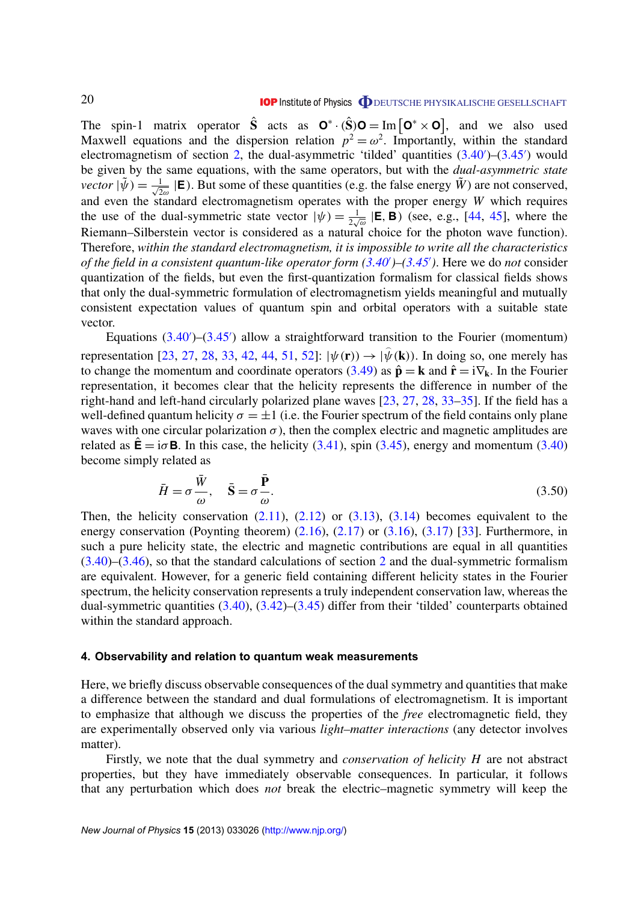<span id="page-20-0"></span>The spin-1 matrix operator  $\hat{S}$  acts as  $\mathbf{O}^* \cdot (\hat{S})\mathbf{O} = \text{Im} [\mathbf{O}^* \times \mathbf{O}]$ , and we also used Maxwell equations and the dispersion relation  $p^2 = \omega^2$ . Importantly, within the standard electromagnetism of section [2,](#page-4-0) the dual-asymmetric 'tilded' quantities  $(3.40')$  $(3.40')$ – $(3.45')$  $(3.45')$  would be given by the same equations, with the same operators, but with the *dual-asymmetric state*  $\text{vector } |\tilde{\psi}\rangle = \frac{1}{\sqrt{2}}$  $\frac{1}{2\omega}$  **E**). But some of these quantities (e.g. the false energy  $\tilde{W}$ ) are not conserved, and even the standard electromagnetism operates with the proper energy *W* which requires the use of the dual-symmetric state vector  $|\psi\rangle = \frac{1}{2}$  $\frac{1}{2\sqrt{\omega}}$  **[E**, **B**) (see, e.g., [\[44,](#page-27-0) [45\]](#page-27-0), where the Riemann–Silberstein vector is considered as a natural choice for the photon wave function). Therefore, *within the standard electromagnetism, it is impossible to write all the characteristics of the field in a consistent quantum-like operator form*  $(3.40')$  $(3.40')$ *–* $(3.45')$  $(3.45')$ *. Here we do <i>not* consider quantization of the fields, but even the first-quantization formalism for classical fields shows that only the dual-symmetric formulation of electromagnetism yields meaningful and mutually consistent expectation values of quantum spin and orbital operators with a suitable state vector.

Equations  $(3.40')$  $(3.40')$ – $(3.45')$  $(3.45')$  allow a straightforward transition to the Fourier (momentum) representation [\[23,](#page-27-0) [27,](#page-27-0) [28,](#page-27-0) [33,](#page-27-0) [42,](#page-27-0) [44,](#page-27-0) [51,](#page-28-0) [52\]](#page-28-0):  $|\psi(\mathbf{r}) \rangle \rightarrow |\hat{\psi}(\mathbf{k})$ ). In doing so, one merely has to change the momentum and coordinate operators [\(3.49\)](#page-19-0) as  $\hat{\mathbf{p}} = \mathbf{k}$  and  $\hat{\mathbf{r}} = i \nabla_{\mathbf{k}}$ . In the Fourier representation, it becomes clear that the helicity represents the difference in number of the right-hand and left-hand circularly polarized plane waves [\[23,](#page-27-0) [27,](#page-27-0) [28,](#page-27-0) [33–35\]](#page-27-0). If the field has a well-defined quantum helicity  $\sigma = \pm 1$  (i.e. the Fourier spectrum of the field contains only plane waves with one circular polarization  $\sigma$ ), then the complex electric and magnetic amplitudes are related as  $\mathbf{E} = i\sigma \mathbf{B}$ . In this case, the helicity [\(3.41\)](#page-18-0), spin [\(3.45\)](#page-18-0), energy and momentum [\(3.40\)](#page-18-0) become simply related as

$$
\bar{H} = \sigma \frac{\bar{W}}{\omega}, \quad \bar{\mathbf{S}} = \sigma \frac{\bar{\mathbf{P}}}{\omega}.
$$
\n(3.50)

Then, the helicity conservation  $(2.11)$ ,  $(2.12)$  or  $(3.13)$ ,  $(3.14)$  becomes equivalent to the energy conservation (Poynting theorem)  $(2.16)$ ,  $(2.17)$  or  $(3.16)$ ,  $(3.17)$  [\[33\]](#page-27-0). Furthermore, in such a pure helicity state, the electric and magnetic contributions are equal in all quantities  $(3.40)$ – $(3.46)$ , so that the standard calculations of section [2](#page-4-0) and the dual-symmetric formalism are equivalent. However, for a generic field containing different helicity states in the Fourier spectrum, the helicity conservation represents a truly independent conservation law, whereas the dual-symmetric quantities [\(3.40\)](#page-18-0), [\(3.42\)](#page-18-0)–[\(3.45\)](#page-18-0) differ from their 'tilded' counterparts obtained within the standard approach.

#### **4. Observability and relation to quantum weak measurements**

Here, we briefly discuss observable consequences of the dual symmetry and quantities that make a difference between the standard and dual formulations of electromagnetism. It is important to emphasize that although we discuss the properties of the *free* electromagnetic field, they are experimentally observed only via various *light–matter interactions* (any detector involves matter).

Firstly, we note that the dual symmetry and *conservation of helicity H* are not abstract properties, but they have immediately observable consequences. In particular, it follows that any perturbation which does *not* break the electric–magnetic symmetry will keep the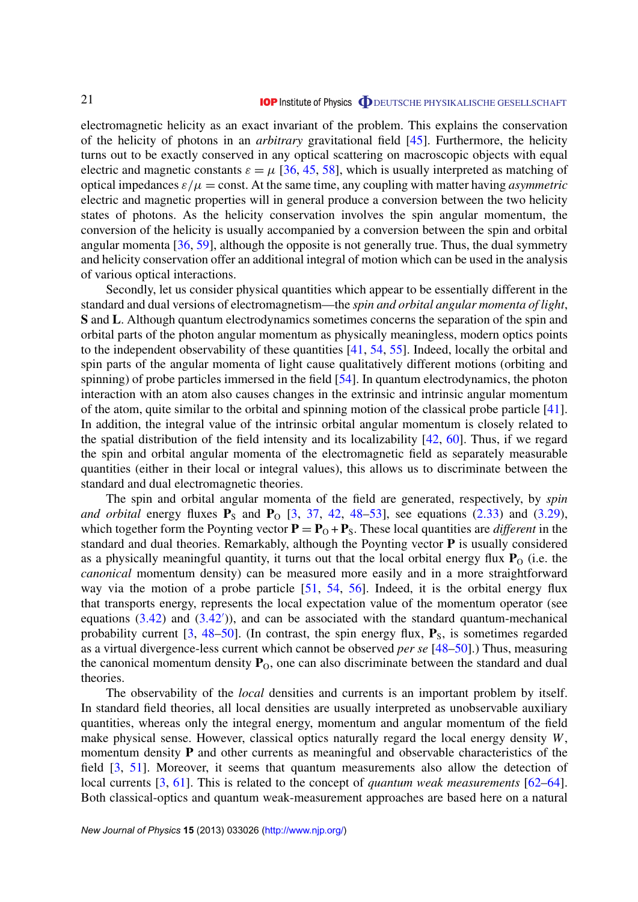electromagnetic helicity as an exact invariant of the problem. This explains the conservation of the helicity of photons in an *arbitrary* gravitational field [\[45\]](#page-27-0). Furthermore, the helicity turns out to be exactly conserved in any optical scattering on macroscopic objects with equal electric and magnetic constants  $\varepsilon = \mu$  [\[36,](#page-27-0) [45,](#page-27-0) [58\]](#page-28-0), which is usually interpreted as matching of optical impedances  $\varepsilon/\mu$  = const. At the same time, any coupling with matter having *asymmetric* electric and magnetic properties will in general produce a conversion between the two helicity states of photons. As the helicity conservation involves the spin angular momentum, the conversion of the helicity is usually accompanied by a conversion between the spin and orbital angular momenta [\[36,](#page-27-0) [59\]](#page-28-0), although the opposite is not generally true. Thus, the dual symmetry and helicity conservation offer an additional integral of motion which can be used in the analysis of various optical interactions.

Secondly, let us consider physical quantities which appear to be essentially different in the standard and dual versions of electromagnetism—the *spin and orbital angular momenta of light*, **S** and **L**. Although quantum electrodynamics sometimes concerns the separation of the spin and orbital parts of the photon angular momentum as physically meaningless, modern optics points to the independent observability of these quantities [\[41,](#page-27-0) [54,](#page-28-0) [55\]](#page-28-0). Indeed, locally the orbital and spin parts of the angular momenta of light cause qualitatively different motions (orbiting and spinning) of probe particles immersed in the field [\[54\]](#page-28-0). In quantum electrodynamics, the photon interaction with an atom also causes changes in the extrinsic and intrinsic angular momentum of the atom, quite similar to the orbital and spinning motion of the classical probe particle [\[41\]](#page-27-0). In addition, the integral value of the intrinsic orbital angular momentum is closely related to the spatial distribution of the field intensity and its localizability [\[42,](#page-27-0) [60\]](#page-28-0). Thus, if we regard the spin and orbital angular momenta of the electromagnetic field as separately measurable quantities (either in their local or integral values), this allows us to discriminate between the standard and dual electromagnetic theories.

The spin and orbital angular momenta of the field are generated, respectively, by *spin and orbital* energy fluxes  $P_S$  and  $P_O$  [\[3,](#page-26-0) [37,](#page-27-0) [42,](#page-27-0) [48–](#page-27-0)[53\]](#page-28-0), see equations [\(2.33\)](#page-9-0) and [\(3.29\)](#page-17-0), which together form the Poynting vector  $\mathbf{P} = \mathbf{P}_0 + \mathbf{P}_S$ . These local quantities are *different* in the standard and dual theories. Remarkably, although the Poynting vector **P** is usually considered as a physically meaningful quantity, it turns out that the local orbital energy flux  $P_{\Omega}$  (i.e. the *canonical* momentum density) can be measured more easily and in a more straightforward way via the motion of a probe particle [\[51,](#page-28-0) [54,](#page-28-0) [56\]](#page-28-0). Indeed, it is the orbital energy flux that transports energy, represents the local expectation value of the momentum operator (see equations  $(3.42)$  and  $(3.42')$  $(3.42')$ ), and can be associated with the standard quantum-mechanical probability current  $[3, 48-50]$  $[3, 48-50]$ . (In contrast, the spin energy flux,  $P_s$ , is sometimes regarded as a virtual divergence-less current which cannot be observed *per se* [\[48–50\]](#page-27-0).) Thus, measuring the canonical momentum density  $P_{\Omega}$ , one can also discriminate between the standard and dual theories.

The observability of the *local* densities and currents is an important problem by itself. In standard field theories, all local densities are usually interpreted as unobservable auxiliary quantities, whereas only the integral energy, momentum and angular momentum of the field make physical sense. However, classical optics naturally regard the local energy density *W*, momentum density **P** and other currents as meaningful and observable characteristics of the field [\[3,](#page-26-0) [51\]](#page-28-0). Moreover, it seems that quantum measurements also allow the detection of local currents [\[3,](#page-26-0) [61\]](#page-28-0). This is related to the concept of *quantum weak measurements* [\[62–64\]](#page-28-0). Both classical-optics and quantum weak-measurement approaches are based here on a natural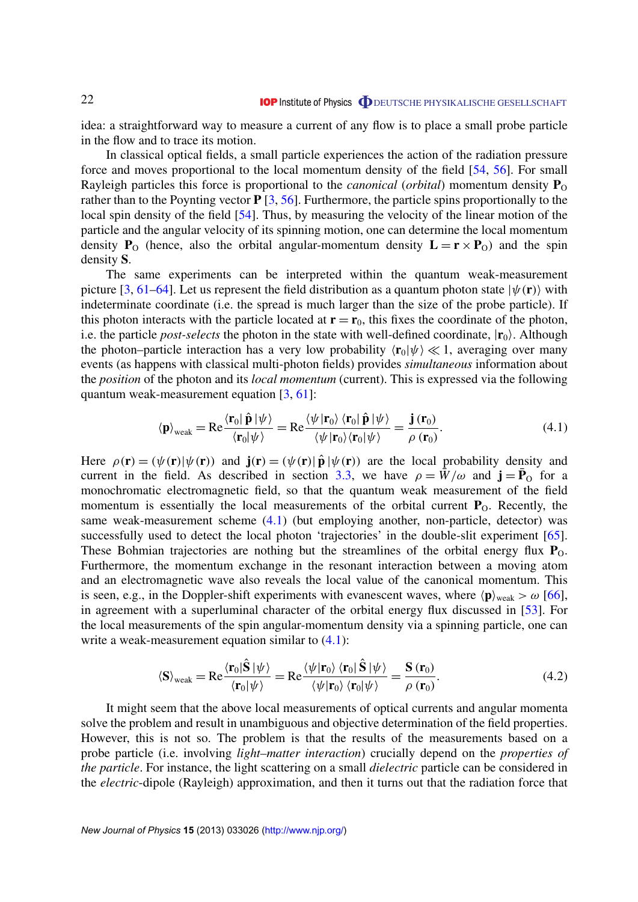idea: a straightforward way to measure a current of any flow is to place a small probe particle in the flow and to trace its motion.

In classical optical fields, a small particle experiences the action of the radiation pressure force and moves proportional to the local momentum density of the field [\[54,](#page-28-0) [56\]](#page-28-0). For small Rayleigh particles this force is proportional to the *canonical* (*orbital*) momentum density  $P_0$ rather than to the Poynting vector **P** [\[3,](#page-26-0) [56\]](#page-28-0). Furthermore, the particle spins proportionally to the local spin density of the field [\[54\]](#page-28-0). Thus, by measuring the velocity of the linear motion of the particle and the angular velocity of its spinning motion, one can determine the local momentum density  $P_0$  (hence, also the orbital angular-momentum density  $L = r \times P_0$ ) and the spin density **S**.

The same experiments can be interpreted within the quantum weak-measurement picture [\[3,](#page-26-0) [61–64\]](#page-28-0). Let us represent the field distribution as a quantum photon state  $|\psi(\mathbf{r})\rangle$  with indeterminate coordinate (i.e. the spread is much larger than the size of the probe particle). If this photon interacts with the particle located at  $\mathbf{r} = \mathbf{r}_0$ , this fixes the coordinate of the photon, i.e. the particle *post-selects* the photon in the state with well-defined coordinate,  $|\mathbf{r}_0\rangle$ . Although the photon–particle interaction has a very low probability  $\langle \mathbf{r}_0|\psi\rangle \ll 1$ , averaging over many events (as happens with classical multi-photon fields) provides *simultaneous* information about the *position* of the photon and its *local momentum* (current). This is expressed via the following quantum weak-measurement equation [\[3,](#page-26-0) [61\]](#page-28-0):

$$
\langle \mathbf{p} \rangle_{\text{weak}} = \text{Re} \frac{\langle \mathbf{r}_0 | \hat{\mathbf{p}} | \psi \rangle}{\langle \mathbf{r}_0 | \psi \rangle} = \text{Re} \frac{\langle \psi | \mathbf{r}_0 \rangle \langle \mathbf{r}_0 | \hat{\mathbf{p}} | \psi \rangle}{\langle \psi | \mathbf{r}_0 \rangle \langle \mathbf{r}_0 | \psi \rangle} = \frac{\mathbf{j}(\mathbf{r}_0)}{\rho(\mathbf{r}_0)}.
$$
(4.1)

Here  $\rho(\mathbf{r}) = (\psi(\mathbf{r})|\psi(\mathbf{r}))$  and  $\mathbf{j}(\mathbf{r}) = (\psi(\mathbf{r})|\hat{\mathbf{p}}|\psi(\mathbf{r}))$  are the local probability density and current in the field. As described in section [3.3,](#page-18-0) we have  $\rho = W/\omega$  and  $\mathbf{j} = \mathbf{P}_0$  for a monochromatic electromagnetic field, so that the quantum weak measurement of the field momentum is essentially the local measurements of the orbital current  $P_0$ . Recently, the same weak-measurement scheme (4.1) (but employing another, non-particle, detector) was successfully used to detect the local photon 'trajectories' in the double-slit experiment [\[65\]](#page-28-0). These Bohmian trajectories are nothing but the streamlines of the orbital energy flux  $P_0$ . Furthermore, the momentum exchange in the resonant interaction between a moving atom and an electromagnetic wave also reveals the local value of the canonical momentum. This is seen, e.g., in the Doppler-shift experiments with evanescent waves, where  $\langle \mathbf{p} \rangle_{weak} > \omega$  [\[66\]](#page-28-0), in agreement with a superluminal character of the orbital energy flux discussed in [\[53\]](#page-28-0). For the local measurements of the spin angular-momentum density via a spinning particle, one can write a weak-measurement equation similar to  $(4.1)$ :

$$
\langle \mathbf{S} \rangle_{\text{weak}} = \text{Re} \frac{\langle \mathbf{r}_0 | \hat{\mathbf{S}} | \psi \rangle}{\langle \mathbf{r}_0 | \psi \rangle} = \text{Re} \frac{\langle \psi | \mathbf{r}_0 \rangle \langle \mathbf{r}_0 | \hat{\mathbf{S}} | \psi \rangle}{\langle \psi | \mathbf{r}_0 \rangle \langle \mathbf{r}_0 | \psi \rangle} = \frac{\mathbf{S}(\mathbf{r}_0)}{\rho(\mathbf{r}_0)}.
$$
(4.2)

It might seem that the above local measurements of optical currents and angular momenta solve the problem and result in unambiguous and objective determination of the field properties. However, this is not so. The problem is that the results of the measurements based on a probe particle (i.e. involving *light–matter interaction*) crucially depend on the *properties of the particle*. For instance, the light scattering on a small *dielectric* particle can be considered in the *electric*-dipole (Rayleigh) approximation, and then it turns out that the radiation force that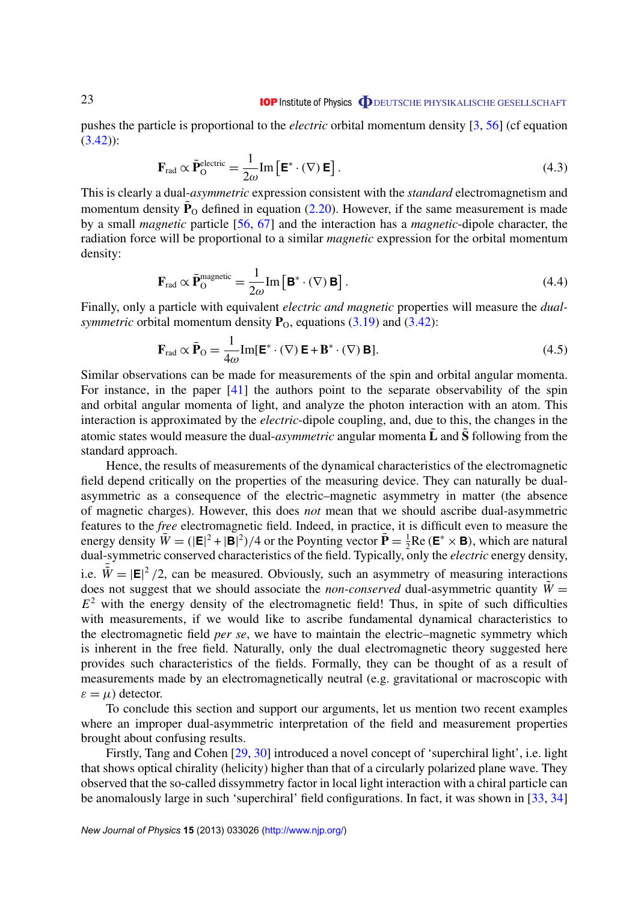pushes the particle is proportional to the *electric* orbital momentum density [\[3,](#page-26-0) [56\]](#page-28-0) (cf equation  $(3.42)$ :

$$
\mathbf{F}_{\text{rad}} \propto \bar{\mathbf{P}}_{\text{O}}^{\text{electric}} = \frac{1}{2\omega} \text{Im} \left[ \mathbf{E}^* \cdot (\nabla) \, \mathbf{E} \right]. \tag{4.3}
$$

This is clearly a dual-*asymmetric* expression consistent with the *standard* electromagnetism and momentum density  $\tilde{P}_{O}$  defined in equation [\(2.20\)](#page-7-0). However, if the same measurement is made by a small *magnetic* particle [\[56,](#page-28-0) [67\]](#page-28-0) and the interaction has a *magnetic*-dipole character, the radiation force will be proportional to a similar *magnetic* expression for the orbital momentum density:

$$
\mathbf{F}_{\text{rad}} \propto \bar{\mathbf{P}}_{\text{O}}^{\text{magnetic}} = \frac{1}{2\omega} \text{Im} \left[ \mathbf{B}^* \cdot (\nabla) \, \mathbf{B} \right]. \tag{4.4}
$$

Finally, only a particle with equivalent *electric and magnetic* properties will measure the *dualsymmetric* orbital momentum density  $P_0$ , equations [\(3.19\)](#page-16-0) and [\(3.42\)](#page-18-0):

$$
\mathbf{F}_{\text{rad}} \propto \bar{\mathbf{P}}_{\text{O}} = \frac{1}{4\omega} \text{Im}[\mathbf{E}^* \cdot (\nabla) \mathbf{E} + \mathbf{B}^* \cdot (\nabla) \mathbf{B}]. \tag{4.5}
$$

Similar observations can be made for measurements of the spin and orbital angular momenta. For instance, in the paper [\[41\]](#page-27-0) the authors point to the separate observability of the spin and orbital angular momenta of light, and analyze the photon interaction with an atom. This interaction is approximated by the *electric*-dipole coupling, and, due to this, the changes in the atomic states would measure the dual-*asymmetric* angular momenta  $\tilde{L}$  and  $\tilde{S}$  following from the standard approach.

Hence, the results of measurements of the dynamical characteristics of the electromagnetic field depend critically on the properties of the measuring device. They can naturally be dualasymmetric as a consequence of the electric–magnetic asymmetry in matter (the absence of magnetic charges). However, this does *not* mean that we should ascribe dual-asymmetric features to the *free* electromagnetic field. Indeed, in practice, it is difficult even to measure the energy density  $\bar{W} = (|\mathbf{E}|^2 + |\mathbf{B}|^2)/4$  or the Poynting vector  $\bar{\mathbf{P}} = \frac{1}{2} \text{Re } (\mathbf{E}^* \times \mathbf{B})$ , which are natural dual-symmetric conserved characteristics of the field. Typically, only the *electric* energy density, i.e.  $\tilde{W} = |\mathbf{E}|^2 / 2$ , can be measured. Obviously, such an asymmetry of measuring interactions does not suggest that we should associate the *non-conserved* dual-asymmetric quantity  $\tilde{W}$  =  $E<sup>2</sup>$  with the energy density of the electromagnetic field! Thus, in spite of such difficulties with measurements, if we would like to ascribe fundamental dynamical characteristics to the electromagnetic field *per se*, we have to maintain the electric–magnetic symmetry which is inherent in the free field. Naturally, only the dual electromagnetic theory suggested here provides such characteristics of the fields. Formally, they can be thought of as a result of measurements made by an electromagnetically neutral (e.g. gravitational or macroscopic with  $\varepsilon = \mu$ ) detector.

To conclude this section and support our arguments, let us mention two recent examples where an improper dual-asymmetric interpretation of the field and measurement properties brought about confusing results.

Firstly, Tang and Cohen [\[29,](#page-27-0) [30\]](#page-27-0) introduced a novel concept of 'superchiral light', i.e. light that shows optical chirality (helicity) higher than that of a circularly polarized plane wave. They observed that the so-called dissymmetry factor in local light interaction with a chiral particle can be anomalously large in such 'superchiral' field configurations. In fact, it was shown in [\[33,](#page-27-0) [34\]](#page-27-0)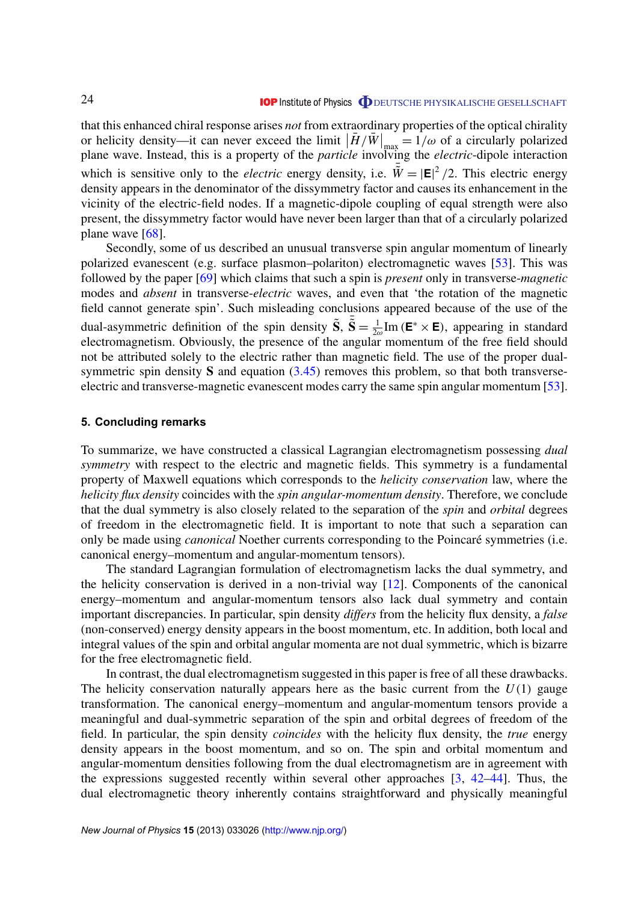<span id="page-24-0"></span>that this enhanced chiral response arises *not* from extraordinary properties of the optical chirality or helicity density—it can never exceed the limit  $\left| \bar{H}/\bar{W} \right|_{\text{max}} = 1/\omega$  of a circularly polarized plane wave. Instead, this is a property of the *particle* involving the *electric*-dipole interaction which is sensitive only to the *electric* energy density, i.e.  $\tilde{W} = |\mathbf{E}|^2/2$ . This electric energy density appears in the denominator of the dissymmetry factor and causes its enhancement in the vicinity of the electric-field nodes. If a magnetic-dipole coupling of equal strength were also present, the dissymmetry factor would have never been larger than that of a circularly polarized plane wave  $[68]$ .

Secondly, some of us described an unusual transverse spin angular momentum of linearly polarized evanescent (e.g. surface plasmon–polariton) electromagnetic waves [\[53\]](#page-28-0). This was followed by the paper [\[69\]](#page-28-0) which claims that such a spin is *present* only in transverse-*magnetic* modes and *absent* in transverse-*electric* waves, and even that 'the rotation of the magnetic field cannot generate spin'. Such misleading conclusions appeared because of the use of the dual-asymmetric definition of the spin density  $\tilde{\mathbf{S}}$ ,  $\tilde{\mathbf{S}} = \frac{1}{2}$  $\frac{1}{2\omega}$ Im (**E**<sup>\*</sup> × **E**), appearing in standard electromagnetism. Obviously, the presence of the angular momentum of the free field should not be attributed solely to the electric rather than magnetic field. The use of the proper dualsymmetric spin density  $S$  and equation  $(3.45)$  removes this problem, so that both transverseelectric and transverse-magnetic evanescent modes carry the same spin angular momentum [\[53\]](#page-28-0).

#### **5. Concluding remarks**

To summarize, we have constructed a classical Lagrangian electromagnetism possessing *dual symmetry* with respect to the electric and magnetic fields. This symmetry is a fundamental property of Maxwell equations which corresponds to the *helicity conservation* law, where the *helicity flux density* coincides with the *spin angular-momentum density*. Therefore, we conclude that the dual symmetry is also closely related to the separation of the *spin* and *orbital* degrees of freedom in the electromagnetic field. It is important to note that such a separation can only be made using *canonical* Noether currents corresponding to the Poincaré symmetries (i.e. canonical energy–momentum and angular-momentum tensors).

The standard Lagrangian formulation of electromagnetism lacks the dual symmetry, and the helicity conservation is derived in a non-trivial way  $[12]$ . Components of the canonical energy–momentum and angular-momentum tensors also lack dual symmetry and contain important discrepancies. In particular, spin density *differs* from the helicity flux density, a *false* (non-conserved) energy density appears in the boost momentum, etc. In addition, both local and integral values of the spin and orbital angular momenta are not dual symmetric, which is bizarre for the free electromagnetic field.

In contrast, the dual electromagnetism suggested in this paper is free of all these drawbacks. The helicity conservation naturally appears here as the basic current from the  $U(1)$  gauge transformation. The canonical energy–momentum and angular-momentum tensors provide a meaningful and dual-symmetric separation of the spin and orbital degrees of freedom of the field. In particular, the spin density *coincides* with the helicity flux density, the *true* energy density appears in the boost momentum, and so on. The spin and orbital momentum and angular-momentum densities following from the dual electromagnetism are in agreement with the expressions suggested recently within several other approaches [\[3,](#page-26-0) [42–44\]](#page-27-0). Thus, the dual electromagnetic theory inherently contains straightforward and physically meaningful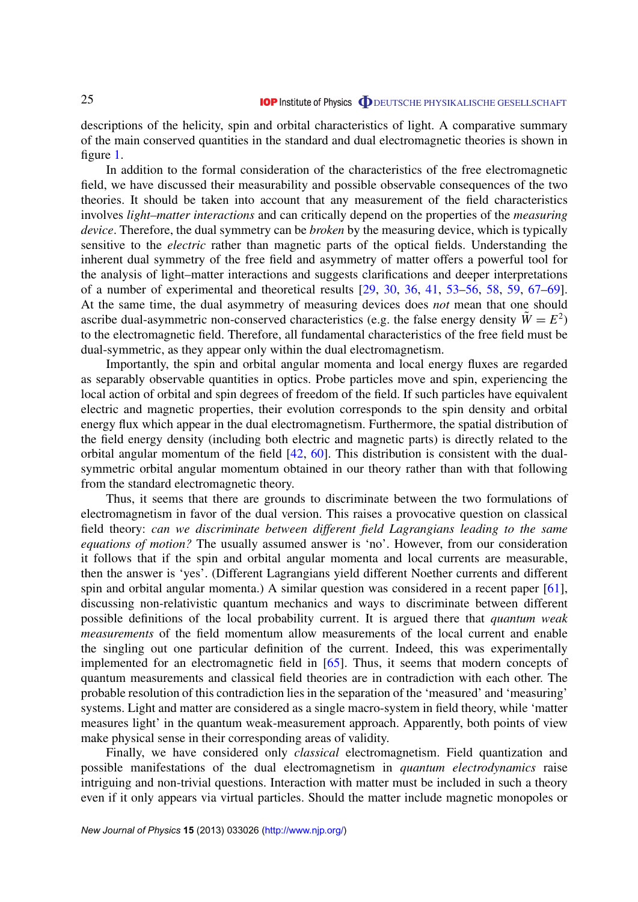descriptions of the helicity, spin and orbital characteristics of light. A comparative summary of the main conserved quantities in the standard and dual electromagnetic theories is shown in figure [1.](#page-13-0)

In addition to the formal consideration of the characteristics of the free electromagnetic field, we have discussed their measurability and possible observable consequences of the two theories. It should be taken into account that any measurement of the field characteristics involves *light–matter interactions* and can critically depend on the properties of the *measuring device*. Therefore, the dual symmetry can be *broken* by the measuring device, which is typically sensitive to the *electric* rather than magnetic parts of the optical fields. Understanding the inherent dual symmetry of the free field and asymmetry of matter offers a powerful tool for the analysis of light–matter interactions and suggests clarifications and deeper interpretations of a number of experimental and theoretical results [\[29,](#page-27-0) [30,](#page-27-0) [36,](#page-27-0) [41,](#page-27-0) [53–56,](#page-28-0) [58,](#page-28-0) [59,](#page-28-0) [67–69\]](#page-28-0). At the same time, the dual asymmetry of measuring devices does *not* mean that one should ascribe dual-asymmetric non-conserved characteristics (e.g. the false energy density  $\tilde{W} = E^2$ ) to the electromagnetic field. Therefore, all fundamental characteristics of the free field must be dual-symmetric, as they appear only within the dual electromagnetism.

Importantly, the spin and orbital angular momenta and local energy fluxes are regarded as separably observable quantities in optics. Probe particles move and spin, experiencing the local action of orbital and spin degrees of freedom of the field. If such particles have equivalent electric and magnetic properties, their evolution corresponds to the spin density and orbital energy flux which appear in the dual electromagnetism. Furthermore, the spatial distribution of the field energy density (including both electric and magnetic parts) is directly related to the orbital angular momentum of the field [\[42,](#page-27-0) [60\]](#page-28-0). This distribution is consistent with the dualsymmetric orbital angular momentum obtained in our theory rather than with that following from the standard electromagnetic theory.

Thus, it seems that there are grounds to discriminate between the two formulations of electromagnetism in favor of the dual version. This raises a provocative question on classical field theory: *can we discriminate between different field Lagrangians leading to the same equations of motion?* The usually assumed answer is 'no'. However, from our consideration it follows that if the spin and orbital angular momenta and local currents are measurable, then the answer is 'yes'. (Different Lagrangians yield different Noether currents and different spin and orbital angular momenta.) A similar question was considered in a recent paper [\[61\]](#page-28-0), discussing non-relativistic quantum mechanics and ways to discriminate between different possible definitions of the local probability current. It is argued there that *quantum weak measurements* of the field momentum allow measurements of the local current and enable the singling out one particular definition of the current. Indeed, this was experimentally implemented for an electromagnetic field in [\[65\]](#page-28-0). Thus, it seems that modern concepts of quantum measurements and classical field theories are in contradiction with each other. The probable resolution of this contradiction lies in the separation of the 'measured' and 'measuring' systems. Light and matter are considered as a single macro-system in field theory, while 'matter measures light' in the quantum weak-measurement approach. Apparently, both points of view make physical sense in their corresponding areas of validity.

Finally, we have considered only *classical* electromagnetism. Field quantization and possible manifestations of the dual electromagnetism in *quantum electrodynamics* raise intriguing and non-trivial questions. Interaction with matter must be included in such a theory even if it only appears via virtual particles. Should the matter include magnetic monopoles or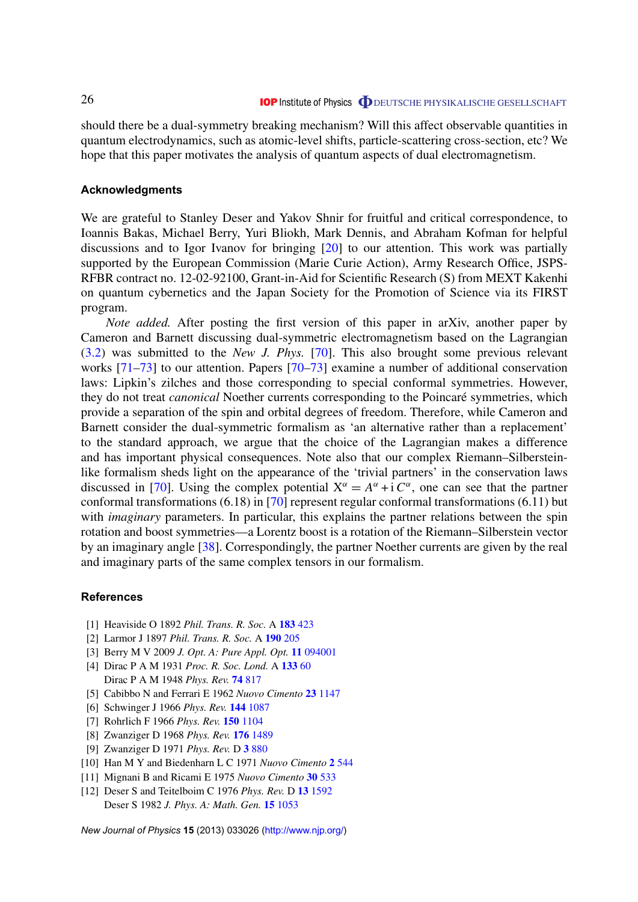<span id="page-26-0"></span>should there be a dual-symmetry breaking mechanism? Will this affect observable quantities in quantum electrodynamics, such as atomic-level shifts, particle-scattering cross-section, etc? We hope that this paper motivates the analysis of quantum aspects of dual electromagnetism.

#### **Acknowledgments**

We are grateful to Stanley Deser and Yakov Shnir for fruitful and critical correspondence, to Ioannis Bakas, Michael Berry, Yuri Bliokh, Mark Dennis, and Abraham Kofman for helpful discussions and to Igor Ivanov for bringing [\[20\]](#page-27-0) to our attention. This work was partially supported by the European Commission (Marie Curie Action), Army Research Office, JSPS-RFBR contract no. 12-02-92100, Grant-in-Aid for Scientific Research (S) from MEXT Kakenhi on quantum cybernetics and the Japan Society for the Promotion of Science via its FIRST program.

*Note added.* After posting the first version of this paper in arXiv, another paper by Cameron and Barnett discussing dual-symmetric electromagnetism based on the Lagrangian [\(3.2\)](#page-12-0) was submitted to the *New J. Phys.* [\[70\]](#page-28-0). This also brought some previous relevant works [\[71–73\]](#page-28-0) to our attention. Papers [\[70–73\]](#page-28-0) examine a number of additional conservation laws: Lipkin's zilches and those corresponding to special conformal symmetries. However, they do not treat *canonical* Noether currents corresponding to the Poincaré symmetries, which provide a separation of the spin and orbital degrees of freedom. Therefore, while Cameron and Barnett consider the dual-symmetric formalism as 'an alternative rather than a replacement' to the standard approach, we argue that the choice of the Lagrangian makes a difference and has important physical consequences. Note also that our complex Riemann–Silbersteinlike formalism sheds light on the appearance of the 'trivial partners' in the conservation laws discussed in [\[70\]](#page-28-0). Using the complex potential  $X^{\alpha} = A^{\alpha} + i C^{\alpha}$ , one can see that the partner conformal transformations (6.18) in [\[70\]](#page-28-0) represent regular conformal transformations (6.11) but with *imaginary* parameters. In particular, this explains the partner relations between the spin rotation and boost symmetries—a Lorentz boost is a rotation of the Riemann–Silberstein vector by an imaginary angle [\[38\]](#page-27-0). Correspondingly, the partner Noether currents are given by the real and imaginary parts of the same complex tensors in our formalism.

#### **References**

- [1] Heaviside O 1892 *Phil. Trans. R. Soc.* A **183** [423](http://dx.doi.org/10.1098/rsta.1892.0011)
- [2] Larmor J 1897 *Phil. Trans. R. Soc.* A **190** [205](http://dx.doi.org/10.1098/rsta.1897.0020)
- [3] Berry M V 2009 *J. Opt. A: Pure Appl. Opt.* **11** [094001](http://dx.doi.org/10.1088/1464-4258/11/9/094001)
- [4] Dirac P A M 1931 *Proc. R. Soc. Lond.* A **[133](http://dx.doi.org/10.1098/rspa.1931.0130)** 60 Dirac P A M 1948 *Phys. Rev.* **74** [817](http://dx.doi.org/10.1103/PhysRev.74.817)
- [5] Cabibbo N and Ferrari E 1962 *Nuovo Cimento* **23** [1147](http://dx.doi.org/10.1007/BF02731275)
- [6] Schwinger J 1966 *Phys. Rev.* **144** [1087](http://dx.doi.org/10.1103/PhysRev.144.1087)
- [7] Rohrlich F 1966 *Phys. Rev.* **150** [1104](http://dx.doi.org/10.1103/PhysRev.150.1104)
- [8] Zwanziger D 1968 *Phys. Rev.* **176** [1489](http://dx.doi.org/10.1103/PhysRev.176.1489)
- [9] Zwanziger D 1971 *Phys. Rev.* D **3** [880](http://dx.doi.org/10.1103/PhysRevD.3.880)
- [10] Han M Y and Biedenharn L C 1971 *Nuovo Cimento* **2** [544](http://dx.doi.org/10.1007/BF02899873)
- [11] Mignani B and Ricami E 1975 *Nuovo Cimento* **30** [533](http://dx.doi.org/10.1007/BF02730485)
- [12] Deser S and Teitelboim C 1976 *Phys. Rev.* D **13** [1592](http://dx.doi.org/10.1103/PhysRevD.13.1592) Deser S 1982 *J. Phys. A: Math. Gen.* **15** [1053](http://dx.doi.org/10.1088/0305-4470/15/3/039)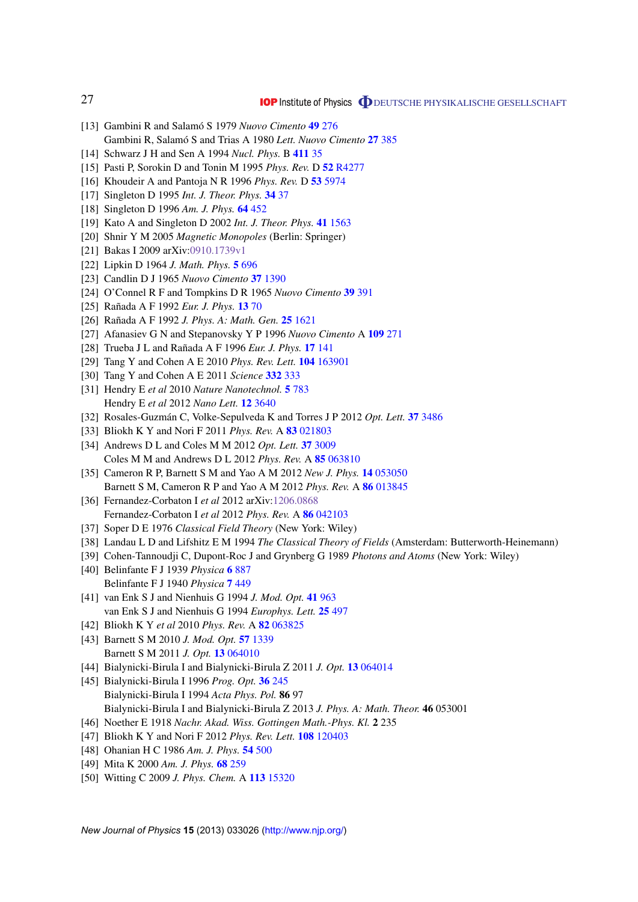- **IOP** Institute of Physics **ODEUTSCHE PHYSIKALISCHE GESELLSCHAFT**
- [13] Gambini R and Salamó S 1979 *Nuovo Cimento* 49 [276](http://dx.doi.org/10.1007/BF02896727)
- Gambini R, Salamó S and Trias A 1980 Lett. Nuovo Cimento 27 [385](http://dx.doi.org/10.1007/BF02817201)
- [14] Schwarz J H and Sen A 1994 *Nucl. Phys.* B **[411](http://dx.doi.org/10.1016/0550-3213(94)90053-1)** 35
- [15] Pasti P, Sorokin D and Tonin M 1995 *Phys. Rev.* D **52** [R4277](http://dx.doi.org/10.1103/PhysRevD.52.R4277)
- [16] Khoudeir A and Pantoja N R 1996 *Phys. Rev.* D **53** [5974](http://dx.doi.org/10.1103/PhysRevD.53.5974)
- [17] Singleton D 1995 *Int. J. Theor. Phys.* **34** [37](http://dx.doi.org/10.1007/BF00670985)
- [18] Singleton D 1996 *Am. J. Phys.* **64** [452](http://dx.doi.org/10.1119/1.18191)
- [19] Kato A and Singleton D 2002 *Int. J. Theor. Phys.* **41** [1563](http://dx.doi.org/10.1023/A:1020192616580)
- [20] Shnir Y M 2005 *Magnetic Monopoles* (Berlin: Springer)
- [21] Bakas I 2009 arXiv[:0910.1739v1](http://arxiv.org/abs/0910.1739v1)
- [22] Lipkin D 1964 *J. Math. Phys.* **5** [696](http://dx.doi.org/10.1063/1.1704165)
- [23] Candlin D J 1965 *Nuovo Cimento* **37** [1390](http://dx.doi.org/10.1007/BF02783348)
- [24] O'Connel R F and Tompkins D R 1965 *Nuovo Cimento* **39** [391](http://dx.doi.org/10.1007/BF02814297)
- [25] Rañada A F 1992 *Eur. J. Phys.* **[13](http://dx.doi.org/10.1088/0143-0807/13/2/003)** 70
- [26] Ranada A F 1992 ˜ *J. Phys. A: Math. Gen.* **25** [1621](http://dx.doi.org/10.1088/0305-4470/25/6/020)
- [27] Afanasiev G N and Stepanovsky Y P 1996 *Nuovo Cimento* A **[109](http://dx.doi.org/10.1007/BF02731014)** 271
- [28] Trueba J L and Rañada A F 1996 *Eur. J. Phys.* **17** [141](http://dx.doi.org/10.1088/0143-0807/17/3/008)
- [29] Tang Y and Cohen A E 2010 *Phys. Rev. Lett.* **104** [163901](http://dx.doi.org/10.1103/PhysRevLett.104.163901)
- [30] Tang Y and Cohen A E 2011 *Science* **332** [333](http://dx.doi.org/10.1126/science.1202817)
- [31] Hendry E *et al* 2010 *Nature Nanotechnol.* **5** [783](http://dx.doi.org/10.1038/nnano.2010.209) Hendry E *et al* 2012 *Nano Lett.* **12** [3640](http://dx.doi.org/10.1021/nl3012787)
- [32] Rosales-Guzmán C, Volke-Sepulveda K and Torres J P 2012 *Opt. Lett.* **37** [3486](http://dx.doi.org/10.1364/OL.37.003486)
- [33] Bliokh K Y and Nori F 2011 *Phys. Rev.* A **83** [021803](http://dx.doi.org/10.1103/PhysRevA.83.021803)
- [34] Andrews D L and Coles M M 2012 *Opt. Lett.* **37** [3009](http://dx.doi.org/10.1364/OL.37.003009) Coles M M and Andrews D L 2012 *Phys. Rev.* A **85** [063810](http://dx.doi.org/10.1103/PhysRevA.85.063810)
- [35] Cameron R P, Barnett S M and Yao A M 2012 *New J. Phys.* **14** [053050](http://dx.doi.org/10.1088/1367-2630/14/5/053050) Barnett S M, Cameron R P and Yao A M 2012 *Phys. Rev.* A **86** [013845](http://dx.doi.org/10.1103/PhysRevA.86.013845)
- [36] Fernandez-Corbaton I *et al* 2012 arXiv[:1206.0868](http://arxiv.org/abs/1206.0868) Fernandez-Corbaton I *et al* 2012 *Phys. Rev.* A **86** [042103](http://dx.doi.org/10.1103/PhysRevA.86.042103)
- [37] Soper D E 1976 *Classical Field Theory* (New York: Wiley)
- [38] Landau L D and Lifshitz E M 1994 *The Classical Theory of Fields* (Amsterdam: Butterworth-Heinemann)
- [39] Cohen-Tannoudji C, Dupont-Roc J and Grynberg G 1989 *Photons and Atoms* (New York: Wiley)
- [40] Belinfante F J 1939 *Physica* **6** [887](http://dx.doi.org/10.1016/S0031-8914(39)90090-X) Belinfante F J 1940 *Physica* **7** [449](http://dx.doi.org/10.1016/S0031-8914(40)90091-X)
- [41] van Enk S J and Nienhuis G 1994 *J. Mod. Opt.* **41** [963](http://dx.doi.org/10.1080/09500349414550911) van Enk S J and Nienhuis G 1994 *Europhys. Lett.* **25** [497](http://dx.doi.org/10.1209/0295-5075/25/7/004)
- [42] Bliokh K Y *et al* 2010 *Phys. Rev.* A **82** [063825](http://dx.doi.org/10.1103/PhysRevA.82.063825)
- [43] Barnett S M 2010 *J. Mod. Opt.* **57** [1339](http://dx.doi.org/10.1080/09500341003654427) Barnett S M 2011 *J. Opt.* **13** [064010](http://dx.doi.org/10.1088/2040-8978/13/6/064010)
- [44] Bialynicki-Birula I and Bialynicki-Birula Z 2011 *J. Opt.* **13** [064014](http://dx.doi.org/10.1088/2040-8978/13/6/064014)
- [45] Bialynicki-Birula I 1996 *Prog. Opt.* **36** [245](http://dx.doi.org/10.1088/2040-8978/13/6/064014) Bialynicki-Birula I 1994 *Acta Phys. Pol.* **86** 97 Bialynicki-Birula I and Bialynicki-Birula Z 2013 *J. Phys. A: Math. Theor.* **46** 053001
- [46] Noether E 1918 *Nachr. Akad. Wiss. Gottingen Math.-Phys. Kl.* **2** 235
- [47] Bliokh K Y and Nori F 2012 *Phys. Rev. Lett.* **108** [120403](http://dx.doi.org/10.1103/PhysRevLett.108.120403)
- [48] Ohanian H C 1986 *Am. J. Phys.* **54** [500](http://dx.doi.org/10.1119/1.14580)
- [49] Mita K 2000 *Am. J. Phys.* **68** [259](http://dx.doi.org/10.1119/1.19421)
- [50] Witting C 2009 *J. Phys. Chem.* A **113** [15320](http://dx.doi.org/10.1021/jp906255u)

*New Journal of Physics* **15** (2013) 033026 [\(http://www.njp.org/\)](http://www.njp.org/)

<span id="page-27-0"></span>27